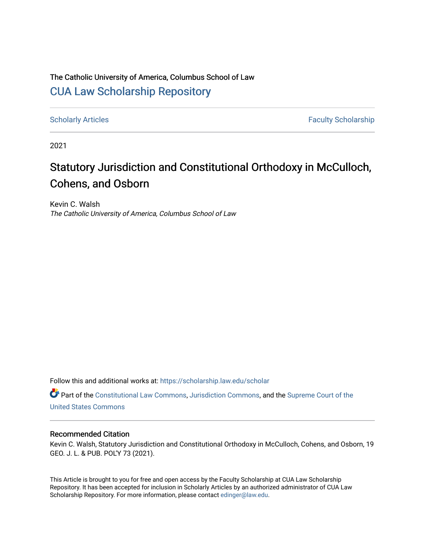# The Catholic University of America, Columbus School of Law [CUA Law Scholarship Repository](https://scholarship.law.edu/)

[Scholarly Articles](https://scholarship.law.edu/scholar) **Faculty Scholarship** Faculty Scholarship

2021

# Statutory Jurisdiction and Constitutional Orthodoxy in McCulloch, Cohens, and Osborn

Kevin C. Walsh The Catholic University of America, Columbus School of Law

Follow this and additional works at: [https://scholarship.law.edu/scholar](https://scholarship.law.edu/scholar?utm_source=scholarship.law.edu%2Fscholar%2F1087&utm_medium=PDF&utm_campaign=PDFCoverPages)

Part of the [Constitutional Law Commons,](https://network.bepress.com/hgg/discipline/589?utm_source=scholarship.law.edu%2Fscholar%2F1087&utm_medium=PDF&utm_campaign=PDFCoverPages) [Jurisdiction Commons](https://network.bepress.com/hgg/discipline/850?utm_source=scholarship.law.edu%2Fscholar%2F1087&utm_medium=PDF&utm_campaign=PDFCoverPages), and the [Supreme Court of the](https://network.bepress.com/hgg/discipline/1350?utm_source=scholarship.law.edu%2Fscholar%2F1087&utm_medium=PDF&utm_campaign=PDFCoverPages) [United States Commons](https://network.bepress.com/hgg/discipline/1350?utm_source=scholarship.law.edu%2Fscholar%2F1087&utm_medium=PDF&utm_campaign=PDFCoverPages) 

# Recommended Citation

Kevin C. Walsh, Statutory Jurisdiction and Constitutional Orthodoxy in McCulloch, Cohens, and Osborn, 19 GEO. J. L. & PUB. POL'Y 73 (2021).

This Article is brought to you for free and open access by the Faculty Scholarship at CUA Law Scholarship Repository. It has been accepted for inclusion in Scholarly Articles by an authorized administrator of CUA Law Scholarship Repository. For more information, please contact [edinger@law.edu](mailto:edinger@law.edu).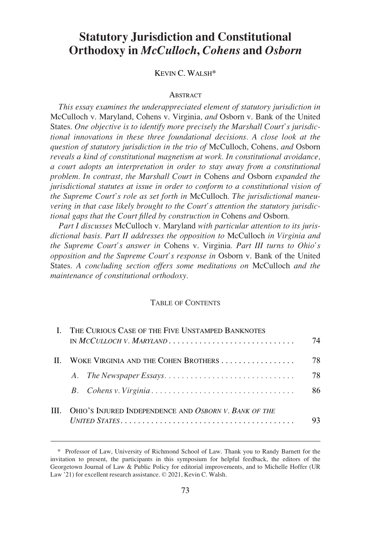# **Statutory Jurisdiction and Constitutional Orthodoxy in** *McCulloch***,** *Cohens* **and** *Osborn*

KEVIN C. WALSH\*

#### **ABSTRACT**

*This essay examines the underappreciated element of statutory jurisdiction in*  McCulloch v. Maryland, Cohens v. Virginia*, and* Osborn v. Bank of the United States*. One objective is to identify more precisely the Marshall Court's jurisdictional innovations in these three foundational decisions. A close look at the question of statutory jurisdiction in the trio of* McCulloch, Cohens*, and* Osborn *reveals a kind of constitutional magnetism at work. In constitutional avoidance, a court adopts an interpretation in order to stay away from a constitutional problem. In contrast, the Marshall Court in* Cohens *and* Osborn *expanded the jurisdictional statutes at issue in order to conform to a constitutional vision of the Supreme Court's role as set forth in* McCulloch*. The jurisdictional maneuvering in that case likely brought to the Court's attention the statutory jurisdictional gaps that the Court filled by construction in* Cohens *and* Osborn*.* 

*Part I discusses* McCulloch v. Maryland *with particular attention to its jurisdictional basis. Part II addresses the opposition to* McCulloch *in Virginia and the Supreme Court's answer in* Cohens v. Virginia*. Part III turns to Ohio's opposition and the Supreme Court's response in* Osborn v. Bank of the United States*. A concluding section offers some meditations on* McCulloch *and the maintenance of constitutional orthodoxy.* 

#### TABLE OF CONTENTS

|              | THE CURIOUS CASE OF THE FIVE UNSTAMPED BANKNOTES      | 74 |
|--------------|-------------------------------------------------------|----|
| $\mathbf{H}$ | WOKE VIRGINIA AND THE COHEN BROTHERS                  | 78 |
|              |                                                       | 78 |
|              |                                                       | 86 |
| Ш            | OHIO'S INJURED INDEPENDENCE AND OSBORN V. BANK OF THE |    |

<sup>\*</sup> Professor of Law, University of Richmond School of Law. Thank you to Randy Barnett for the invitation to present, the participants in this symposium for helpful feedback, the editors of the Georgetown Journal of Law & Public Policy for editorial improvements, and to Michelle Hoffer (UR Law '21) for excellent research assistance. © 2021, Kevin C. Walsh.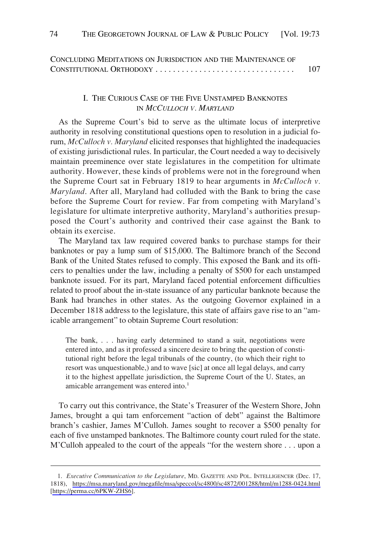<span id="page-2-0"></span>

| CONCLUDING MEDITATIONS ON JURISDICTION AND THE MAINTENANCE OF |     |
|---------------------------------------------------------------|-----|
| CONSTITUTIONAL ORTHODOXY                                      | 107 |

## I. THE CURIOUS CASE OF THE FIVE UNSTAMPED BANKNOTES IN *MCCULLOCH V. MARYLAND*

As the Supreme Court's bid to serve as the ultimate locus of interpretive authority in resolving constitutional questions open to resolution in a judicial forum, *McCulloch v. Maryland* elicited responses that highlighted the inadequacies of existing jurisdictional rules. In particular, the Court needed a way to decisively maintain preeminence over state legislatures in the competition for ultimate authority. However, these kinds of problems were not in the foreground when the Supreme Court sat in February 1819 to hear arguments in *McCulloch v. Maryland*. After all, Maryland had colluded with the Bank to bring the case before the Supreme Court for review. Far from competing with Maryland's legislature for ultimate interpretive authority, Maryland's authorities presupposed the Court's authority and contrived their case against the Bank to obtain its exercise.

The Maryland tax law required covered banks to purchase stamps for their banknotes or pay a lump sum of \$15,000. The Baltimore branch of the Second Bank of the United States refused to comply. This exposed the Bank and its officers to penalties under the law, including a penalty of \$500 for each unstamped banknote issued. For its part, Maryland faced potential enforcement difficulties related to proof about the in-state issuance of any particular banknote because the Bank had branches in other states. As the outgoing Governor explained in a December 1818 address to the legislature, this state of affairs gave rise to an "amicable arrangement" to obtain Supreme Court resolution:

The bank, . . . having early determined to stand a suit, negotiations were entered into, and as it professed a sincere desire to bring the question of constitutional right before the legal tribunals of the country, (to which their right to resort was unquestionable,) and to wave [sic] at once all legal delays, and carry it to the highest appellate jurisdiction, the Supreme Court of the U. States, an amicable arrangement was entered into.<sup>1</sup>

To carry out this contrivance, the State's Treasurer of the Western Shore, John James, brought a qui tam enforcement "action of debt" against the Baltimore branch's cashier, James M'Culloh. James sought to recover a \$500 penalty for each of five unstamped banknotes. The Baltimore county court ruled for the state. M'Culloh appealed to the court of the appeals "for the western shore . . . upon a

*Executive Communication to the Legislature*, MD. GAZETTE AND POL. INTELLIGENCER (Dec. 17, 1. 1818), <https://msa.maryland.gov/megafile/msa/speccol/sc4800/sc4872/001288/html/m1288-0424.html> [<https://perma.cc/6PKW-ZHS6>].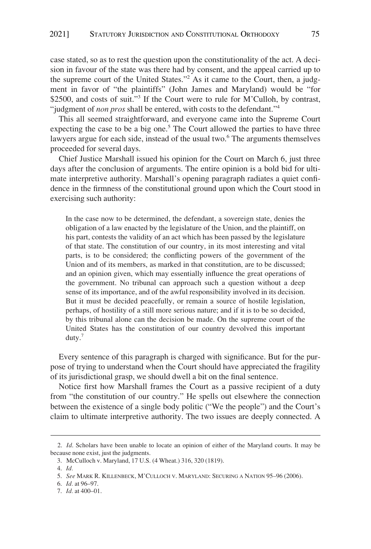case stated, so as to rest the question upon the constitutionality of the act. A decision in favour of the state was there had by consent, and the appeal carried up to the supreme court of the United States."2 As it came to the Court, then, a judgment in favor of "the plaintiffs" (John James and Maryland) would be "for \$2500, and costs of suit."<sup>3</sup> If the Court were to rule for M'Culloh, by contrast, "judgment of *non pros* shall be entered, with costs to the defendant."<sup>4</sup>

This all seemed straightforward, and everyone came into the Supreme Court expecting the case to be a big one.<sup>5</sup> The Court allowed the parties to have three lawyers argue for each side, instead of the usual two.<sup>6</sup> The arguments themselves proceeded for several days.

Chief Justice Marshall issued his opinion for the Court on March 6, just three days after the conclusion of arguments. The entire opinion is a bold bid for ultimate interpretive authority. Marshall's opening paragraph radiates a quiet confidence in the firmness of the constitutional ground upon which the Court stood in exercising such authority:

In the case now to be determined, the defendant, a sovereign state, denies the obligation of a law enacted by the legislature of the Union, and the plaintiff, on his part, contests the validity of an act which has been passed by the legislature of that state. The constitution of our country, in its most interesting and vital parts, is to be considered; the conflicting powers of the government of the Union and of its members, as marked in that constitution, are to be discussed; and an opinion given, which may essentially influence the great operations of the government. No tribunal can approach such a question without a deep sense of its importance, and of the awful responsibility involved in its decision. But it must be decided peacefully, or remain a source of hostile legislation, perhaps, of hostility of a still more serious nature; and if it is to be so decided, by this tribunal alone can the decision be made. On the supreme court of the United States has the constitution of our country devolved this important duty.<sup>7</sup>

Every sentence of this paragraph is charged with significance. But for the purpose of trying to understand when the Court should have appreciated the fragility of its jurisdictional grasp, we should dwell a bit on the final sentence.

Notice first how Marshall frames the Court as a passive recipient of a duty from "the constitution of our country." He spells out elsewhere the connection between the existence of a single body politic ("We the people") and the Court's claim to ultimate interpretive authority. The two issues are deeply connected. A

<sup>2.</sup> *Id*. Scholars have been unable to locate an opinion of either of the Maryland courts. It may be because none exist, just the judgments.

<sup>3.</sup> McCulloch v. Maryland, 17 U.S. (4 Wheat.) 316, 320 (1819).

<sup>4.</sup> *Id.* 

<sup>5.</sup> *See* MARK R. KILLENBECK, M'CULLOCH V. MARYLAND: SECURING A NATION 95–96 (2006).

<sup>6.</sup> *Id.* at 96–97.

<sup>7.</sup> *Id.* at 400–01.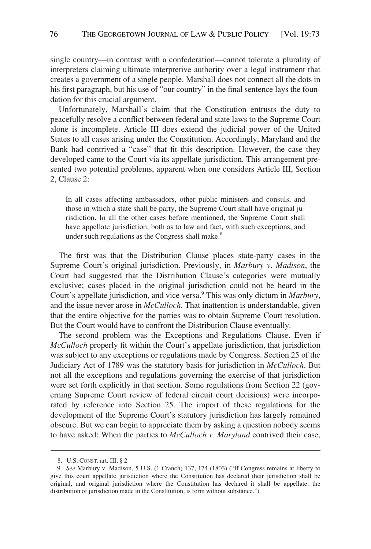single country—in contrast with a confederation—cannot tolerate a plurality of interpreters claiming ultimate interpretive authority over a legal instrument that creates a government of a single people. Marshall does not connect all the dots in his first paragraph, but his use of "our country" in the final sentence lays the foundation for this crucial argument.

Unfortunately, Marshall's claim that the Constitution entrusts the duty to peacefully resolve a conflict between federal and state laws to the Supreme Court alone is incomplete. Article III does extend the judicial power of the United States to all cases arising under the Constitution. Accordingly, Maryland and the Bank had contrived a "case" that fit this description. However, the case they developed came to the Court via its appellate jurisdiction. This arrangement presented two potential problems, apparent when one considers Article III, Section 2, Clause 2:

In all cases affecting ambassadors, other public ministers and consuls, and those in which a state shall be party, the Supreme Court shall have original jurisdiction. In all the other cases before mentioned, the Supreme Court shall have appellate jurisdiction, both as to law and fact, with such exceptions, and under such regulations as the Congress shall make.<sup>8</sup>

The first was that the Distribution Clause places state-party cases in the Supreme Court's original jurisdiction. Previously, in *Marbury v. Madison*, the Court had suggested that the Distribution Clause's categories were mutually exclusive; cases placed in the original jurisdiction could not be heard in the Court's appellate jurisdiction, and vice versa.9 This was only dictum in *Marbury*, and the issue never arose in *McCulloch*. That inattention is understandable, given that the entire objective for the parties was to obtain Supreme Court resolution. But the Court would have to confront the Distribution Clause eventually.

The second problem was the Exceptions and Regulations Clause. Even if *McCulloch* properly fit within the Court's appellate jurisdiction, that jurisdiction was subject to any exceptions or regulations made by Congress. Section 25 of the Judiciary Act of 1789 was the statutory basis for jurisdiction in *McCulloch*. But not all the exceptions and regulations governing the exercise of that jurisdiction were set forth explicitly in that section. Some regulations from Section 22 (governing Supreme Court review of federal circuit court decisions) were incorporated by reference into Section 25. The import of these regulations for the development of the Supreme Court's statutory jurisdiction has largely remained obscure. But we can begin to appreciate them by asking a question nobody seems to have asked: When the parties to *McCulloch v. Maryland* contrived their case,

<sup>8.</sup> U.S. CONST. art. III, § 2

<sup>9.</sup> *See* Marbury v. Madison, 5 U.S. (1 Cranch) 137, 174 (1803) ("If Congress remains at liberty to give this court appellate jurisdiction where the Constitution has declared their jurisdiction shall be original, and original jurisdiction where the Constitution has declared it shall be appellate, the distribution of jurisdiction made in the Constitution, is form without substance.").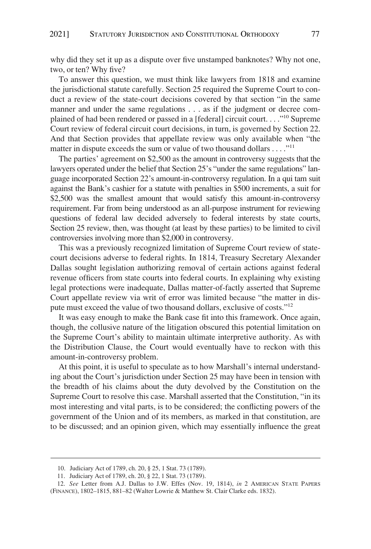why did they set it up as a dispute over five unstamped banknotes? Why not one, two, or ten? Why five?

To answer this question, we must think like lawyers from 1818 and examine the jurisdictional statute carefully. Section 25 required the Supreme Court to conduct a review of the state-court decisions covered by that section "in the same manner and under the same regulations . . . as if the judgment or decree complained of had been rendered or passed in a [federal] circuit court...."<sup>10</sup> Supreme Court review of federal circuit court decisions, in turn, is governed by Section 22. And that Section provides that appellate review was only available when "the matter in dispute exceeds the sum or value of two thousand dollars . . . . "<sup>11</sup>

The parties' agreement on \$2,500 as the amount in controversy suggests that the lawyers operated under the belief that Section 25's "under the same regulations" language incorporated Section 22's amount-in-controversy regulation. In a qui tam suit against the Bank's cashier for a statute with penalties in \$500 increments, a suit for \$2,500 was the smallest amount that would satisfy this amount-in-controversy requirement. Far from being understood as an all-purpose instrument for reviewing questions of federal law decided adversely to federal interests by state courts, Section 25 review, then, was thought (at least by these parties) to be limited to civil controversies involving more than \$2,000 in controversy.

This was a previously recognized limitation of Supreme Court review of statecourt decisions adverse to federal rights. In 1814, Treasury Secretary Alexander Dallas sought legislation authorizing removal of certain actions against federal revenue officers from state courts into federal courts. In explaining why existing legal protections were inadequate, Dallas matter-of-factly asserted that Supreme Court appellate review via writ of error was limited because "the matter in dispute must exceed the value of two thousand dollars, exclusive of costs."12

It was easy enough to make the Bank case fit into this framework. Once again, though, the collusive nature of the litigation obscured this potential limitation on the Supreme Court's ability to maintain ultimate interpretive authority. As with the Distribution Clause, the Court would eventually have to reckon with this amount-in-controversy problem.

At this point, it is useful to speculate as to how Marshall's internal understanding about the Court's jurisdiction under Section 25 may have been in tension with the breadth of his claims about the duty devolved by the Constitution on the Supreme Court to resolve this case. Marshall asserted that the Constitution, "in its most interesting and vital parts, is to be considered; the conflicting powers of the government of the Union and of its members, as marked in that constitution, are to be discussed; and an opinion given, which may essentially influence the great

<sup>10.</sup> Judiciary Act of 1789, ch. 20, § 25, 1 Stat. 73 (1789).

<sup>11.</sup> Judiciary Act of 1789, ch. 20, § 22, 1 Stat. 73 (1789).

<sup>12.</sup> *See* Letter from A.J. Dallas to J.W. Effes (Nov. 19, 1814), *in* 2 AMERICAN STATE PAPERS (FINANCE), 1802–1815, 881–82 (Walter Lowrie & Matthew St. Clair Clarke eds. 1832).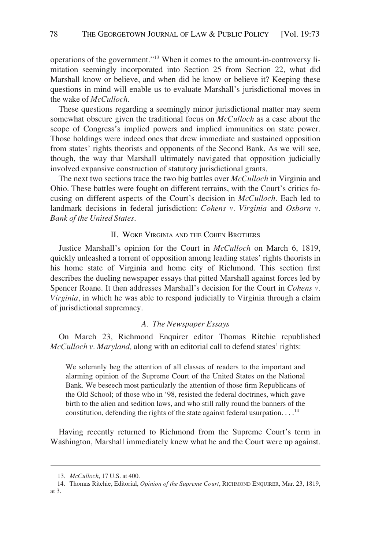<span id="page-6-0"></span>operations of the government."13 When it comes to the amount-in-controversy limitation seemingly incorporated into Section 25 from Section 22, what did Marshall know or believe, and when did he know or believe it? Keeping these questions in mind will enable us to evaluate Marshall's jurisdictional moves in the wake of *McCulloch*.

These questions regarding a seemingly minor jurisdictional matter may seem somewhat obscure given the traditional focus on *McCulloch* as a case about the scope of Congress's implied powers and implied immunities on state power. Those holdings were indeed ones that drew immediate and sustained opposition from states' rights theorists and opponents of the Second Bank. As we will see, though, the way that Marshall ultimately navigated that opposition judicially involved expansive construction of statutory jurisdictional grants.

The next two sections trace the two big battles over *McCulloch* in Virginia and Ohio. These battles were fought on different terrains, with the Court's critics focusing on different aspects of the Court's decision in *McCulloch*. Each led to landmark decisions in federal jurisdiction: *Cohens v. Virginia* and *Osborn v. Bank of the United States*.

### II. WOKE VIRGINIA AND THE COHEN BROTHERS

Justice Marshall's opinion for the Court in *McCulloch* on March 6, 1819, quickly unleashed a torrent of opposition among leading states' rights theorists in his home state of Virginia and home city of Richmond. This section first describes the dueling newspaper essays that pitted Marshall against forces led by Spencer Roane. It then addresses Marshall's decision for the Court in *Cohens v. Virginia*, in which he was able to respond judicially to Virginia through a claim of jurisdictional supremacy.

#### *A. The Newspaper Essays*

On March 23, Richmond Enquirer editor Thomas Ritchie republished *McCulloch v. Maryland,* along with an editorial call to defend states' rights:

We solemnly beg the attention of all classes of readers to the important and alarming opinion of the Supreme Court of the United States on the National Bank. We beseech most particularly the attention of those firm Republicans of the Old School; of those who in '98, resisted the federal doctrines, which gave birth to the alien and sedition laws, and who still rally round the banners of the constitution, defending the rights of the state against federal usurpation. . . .14

Having recently returned to Richmond from the Supreme Court's term in Washington, Marshall immediately knew what he and the Court were up against.

<sup>13.</sup> *McCulloch*, 17 U.S. at 400.

<sup>14.</sup> Thomas Ritchie, Editorial, *Opinion of the Supreme Court*, RICHMOND ENQUIRER, Mar. 23, 1819, at 3.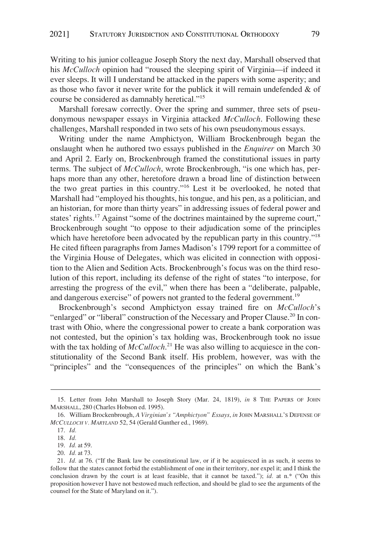Writing to his junior colleague Joseph Story the next day, Marshall observed that his *McCulloch* opinion had "roused the sleeping spirit of Virginia—if indeed it ever sleeps. It will I understand be attacked in the papers with some asperity; and as those who favor it never write for the publick it will remain undefended  $\&$  of course be considered as damnably heretical."15

Marshall foresaw correctly. Over the spring and summer, three sets of pseudonymous newspaper essays in Virginia attacked *McCulloch*. Following these challenges, Marshall responded in two sets of his own pseudonymous essays.

Writing under the name Amphictyon, William Brockenbrough began the onslaught when he authored two essays published in the *Enquirer* on March 30 and April 2. Early on, Brockenbrough framed the constitutional issues in party terms. The subject of *McCulloch*, wrote Brockenbrough, "is one which has, perhaps more than any other, heretofore drawn a broad line of distinction between the two great parties in this country."16 Lest it be overlooked, he noted that Marshall had "employed his thoughts, his tongue, and his pen, as a politician, and an historian, for more than thirty years" in addressing issues of federal power and states' rights.<sup>17</sup> Against "some of the doctrines maintained by the supreme court," Brockenbrough sought "to oppose to their adjudication some of the principles which have heretofore been advocated by the republican party in this country."<sup>18</sup> He cited fifteen paragraphs from James Madison's 1799 report for a committee of the Virginia House of Delegates, which was elicited in connection with opposition to the Alien and Sedition Acts. Brockenbrough's focus was on the third resolution of this report, including its defense of the right of states "to interpose, for arresting the progress of the evil," when there has been a "deliberate, palpable, and dangerous exercise" of powers not granted to the federal government.<sup>19</sup>

Brockenbrough's second Amphictyon essay trained fire on *McCulloch*'s "enlarged" or "liberal" construction of the Necessary and Proper Clause.<sup>20</sup> In contrast with Ohio, where the congressional power to create a bank corporation was not contested, but the opinion's tax holding was, Brockenbrough took no issue with the tax holding of *McCulloch*.<sup>21</sup> He was also willing to acquiesce in the constitutionality of the Second Bank itself. His problem, however, was with the "principles" and the "consequences of the principles" on which the Bank's

<sup>15.</sup> Letter from John Marshall to Joseph Story (Mar. 24, 1819), *in* 8 THE PAPERS OF JOHN MARSHALL, 280 (Charles Hobson ed. 1995).

<sup>16.</sup> William Brockenbrough, *A Virginian's "Amphictyon" Essays*, *in* JOHN MARSHALL'S DEFENSE OF *MCCULLOCH V. MARYLAND* 52, 54 (Gerald Gunther ed., 1969).

<sup>17.</sup> *Id.* 

<sup>18.</sup> *Id.* 

<sup>19.</sup> *Id.* at 59.

<sup>20.</sup> *Id.* at 73.

<sup>21.</sup> *Id.* at 76. ("If the Bank law be constitutional law, or if it be acquiesced in as such, it seems to follow that the states cannot forbid the establishment of one in their territory, nor expel it; and I think the conclusion drawn by the court is at least feasible, that it cannot be taxed."); *id.* at n.\* ("On this proposition however I have not bestowed much reflection, and should be glad to see the arguments of the counsel for the State of Maryland on it.").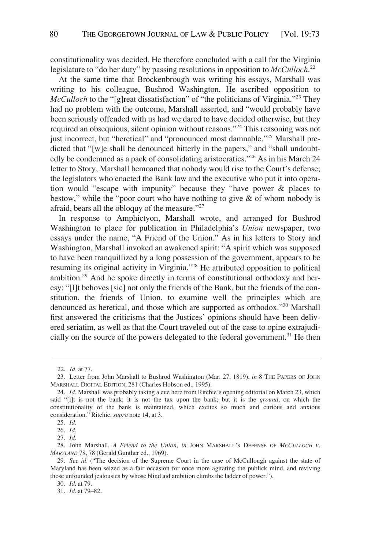constitutionality was decided. He therefore concluded with a call for the Virginia legislature to "do her duty" by passing resolutions in opposition to *McCulloch*. 22

At the same time that Brockenbrough was writing his essays, Marshall was writing to his colleague, Bushrod Washington. He ascribed opposition to *McCulloch* to the "[g]reat dissatisfaction" of "the politicians of Virginia."<sup>23</sup> They had no problem with the outcome, Marshall asserted, and "would probably have been seriously offended with us had we dared to have decided otherwise, but they required an obsequious, silent opinion without reasons."<sup>24</sup> This reasoning was not just incorrect, but "heretical" and "pronounced most damnable."<sup>25</sup> Marshall predicted that "[w]e shall be denounced bitterly in the papers," and "shall undoubtedly be condemned as a pack of consolidating aristocratics."26 As in his March 24 letter to Story, Marshall bemoaned that nobody would rise to the Court's defense; the legislators who enacted the Bank law and the executive who put it into operation would "escape with impunity" because they "have power & places to bestow," while the "poor court who have nothing to give & of whom nobody is afraid, bears all the obloquy of the measure."<sup>27</sup>

In response to Amphictyon, Marshall wrote, and arranged for Bushrod Washington to place for publication in Philadelphia's *Union* newspaper, two essays under the name, "A Friend of the Union." As in his letters to Story and Washington, Marshall invoked an awakened spirit: "A spirit which was supposed to have been tranquillized by a long possession of the government, appears to be resuming its original activity in Virginia."28 He attributed opposition to political ambition.29 And he spoke directly in terms of constitutional orthodoxy and heresy: "[I]t behoves [sic] not only the friends of the Bank, but the friends of the constitution, the friends of Union, to examine well the principles which are denounced as heretical, and those which are supported as orthodox."30 Marshall first answered the criticisms that the Justices' opinions should have been delivered seriatim, as well as that the Court traveled out of the case to opine extrajudicially on the source of the powers delegated to the federal government.<sup>31</sup> He then

<sup>22.</sup> *Id.* at 77.

<sup>23.</sup> Letter from John Marshall to Bushrod Washington (Mar. 27, 1819), *in* 8 THE PAPERS OF JOHN MARSHALL DIGITAL EDITION, 281 (Charles Hobson ed., 1995).

<sup>24.</sup> *Id.* Marshall was probably taking a cue here from Ritchie's opening editorial on March 23, which said "[i]t is not the bank; it is not the tax upon the bank; but it is the *ground*, on which the constitutionality of the bank is maintained, which excites so much and curious and anxious consideration." Ritchie, *supra* note 14, at 3.

<sup>25.</sup> *Id.* 

<sup>26.</sup> *Id.* 

<sup>27.</sup> *Id.* 

<sup>28.</sup> John Marshall, *A Friend to the Union*, *in* JOHN MARSHALL'S DEFENSE OF *MCCULLOCH V. MARYLAND* 78, 78 (Gerald Gunther ed., 1969).

<sup>29.</sup> *See id.* ("The decision of the Supreme Court in the case of McCullough against the state of Maryland has been seized as a fair occasion for once more agitating the publick mind, and reviving those unfounded jealousies by whose blind aid ambition climbs the ladder of power.").

<sup>30.</sup> *Id.* at 79.

<sup>31.</sup> *Id.* at 79–82.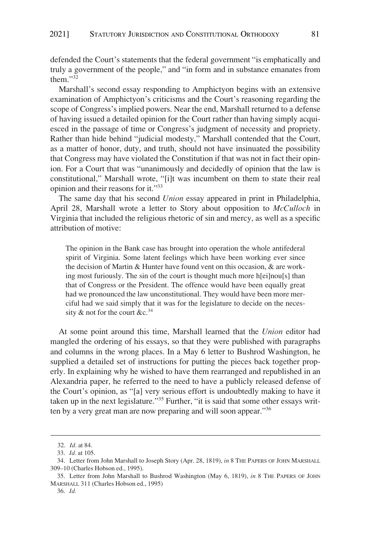defended the Court's statements that the federal government "is emphatically and truly a government of the people," and "in form and in substance emanates from them."32

Marshall's second essay responding to Amphictyon begins with an extensive examination of Amphictyon's criticisms and the Court's reasoning regarding the scope of Congress's implied powers. Near the end, Marshall returned to a defense of having issued a detailed opinion for the Court rather than having simply acquiesced in the passage of time or Congress's judgment of necessity and propriety. Rather than hide behind "judicial modesty," Marshall contended that the Court, as a matter of honor, duty, and truth, should not have insinuated the possibility that Congress may have violated the Constitution if that was not in fact their opinion. For a Court that was "unanimously and decidedly of opinion that the law is constitutional," Marshall wrote, "[i]t was incumbent on them to state their real opinion and their reasons for it."33

The same day that his second *Union* essay appeared in print in Philadelphia, April 28, Marshall wrote a letter to Story about opposition to *McCulloch* in Virginia that included the religious rhetoric of sin and mercy, as well as a specific attribution of motive:

The opinion in the Bank case has brought into operation the whole antifederal spirit of Virginia. Some latent feelings which have been working ever since the decision of Martin & Hunter have found vent on this occasion, & are working most furiously. The sin of the court is thought much more h[ei]nou[s] than that of Congress or the President. The offence would have been equally great had we pronounced the law unconstitutional. They would have been more merciful had we said simply that it was for the legislature to decide on the necessity  $\&$  not for the court  $&c.^{34}$ 

At some point around this time, Marshall learned that the *Union* editor had mangled the ordering of his essays, so that they were published with paragraphs and columns in the wrong places. In a May 6 letter to Bushrod Washington, he supplied a detailed set of instructions for putting the pieces back together properly. In explaining why he wished to have them rearranged and republished in an Alexandria paper, he referred to the need to have a publicly released defense of the Court's opinion, as "[a] very serious effort is undoubtedly making to have it taken up in the next legislature."<sup>35</sup> Further, "it is said that some other essays written by a very great man are now preparing and will soon appear."<sup>36</sup>

<sup>32.</sup> *Id.* at 84.

<sup>33.</sup> *Id.* at 105.

<sup>34.</sup> Letter from John Marshall to Joseph Story (Apr. 28, 1819), *in* 8 THE PAPERS OF JOHN MARSHALL 309–10 (Charles Hobson ed., 1995).

<sup>35.</sup> Letter from John Marshall to Bushrod Washington (May 6, 1819), *in* 8 THE PAPERS OF JOHN MARSHALL 311 (Charles Hobson ed., 1995)

<sup>36.</sup> *Id.*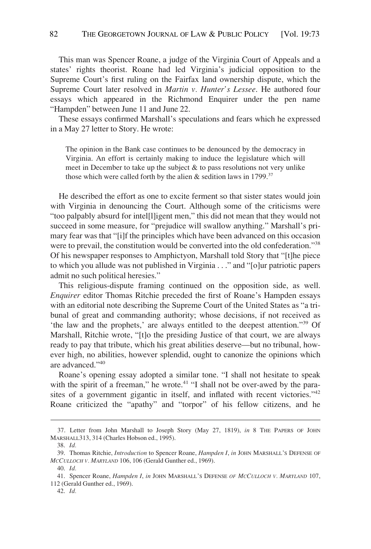This man was Spencer Roane, a judge of the Virginia Court of Appeals and a states' rights theorist. Roane had led Virginia's judicial opposition to the Supreme Court's first ruling on the Fairfax land ownership dispute, which the Supreme Court later resolved in *Martin v. Hunter's Lessee*. He authored four essays which appeared in the Richmond Enquirer under the pen name "Hampden" between June 11 and June 22.

These essays confirmed Marshall's speculations and fears which he expressed in a May 27 letter to Story. He wrote:

The opinion in the Bank case continues to be denounced by the democracy in Virginia. An effort is certainly making to induce the legislature which will meet in December to take up the subject  $\&$  to pass resolutions not very unlike those which were called forth by the alien  $\&$  sedition laws in 1799.<sup>37</sup>

He described the effort as one to excite ferment so that sister states would join with Virginia in denouncing the Court. Although some of the criticisms were "too palpably absurd for intel[l]igent men," this did not mean that they would not succeed in some measure, for "prejudice will swallow anything." Marshall's primary fear was that "[i]f the principles which have been advanced on this occasion were to prevail, the constitution would be converted into the old confederation."<sup>38</sup> Of his newspaper responses to Amphictyon, Marshall told Story that "[t]he piece to which you allude was not published in Virginia . . ." and "[o]ur patriotic papers admit no such political heresies."

This religious-dispute framing continued on the opposition side, as well. *Enquirer* editor Thomas Ritchie preceded the first of Roane's Hampden essays with an editorial note describing the Supreme Court of the United States as "a tribunal of great and commanding authority; whose decisions, if not received as 'the law and the prophets,' are always entitled to the deepest attention."39 Of Marshall, Ritchie wrote, "[t]o the presiding Justice of that court, we are always ready to pay that tribute, which his great abilities deserve—but no tribunal, however high, no abilities, however splendid, ought to canonize the opinions which are advanced."40

Roane's opening essay adopted a similar tone. "I shall not hesitate to speak with the spirit of a freeman," he wrote.<sup>41</sup> "I shall not be over-awed by the parasites of a government gigantic in itself, and inflated with recent victories."<sup>42</sup> Roane criticized the "apathy" and "torpor" of his fellow citizens, and he

<sup>37.</sup> Letter from John Marshall to Joseph Story (May 27, 1819), *in* 8 THE PAPERS OF JOHN MARSHALL313, 314 (Charles Hobson ed., 1995).

<sup>38.</sup> *Id.* 

<sup>39.</sup> Thomas Ritchie, *Introduction* to Spencer Roane, *Hampden I*, *in* JOHN MARSHALL'S DEFENSE OF *MCCULLOCH V. MARYLAND* 106, 106 (Gerald Gunther ed., 1969).

<sup>40.</sup> *Id.* 

<sup>41.</sup> Spencer Roane, *Hampden I*, *in* JOHN MARSHALL'S DEFENSE *OF MCCULLOCH V. MARYLAND* 107, 112 (Gerald Gunther ed., 1969).

<sup>42.</sup> *Id.*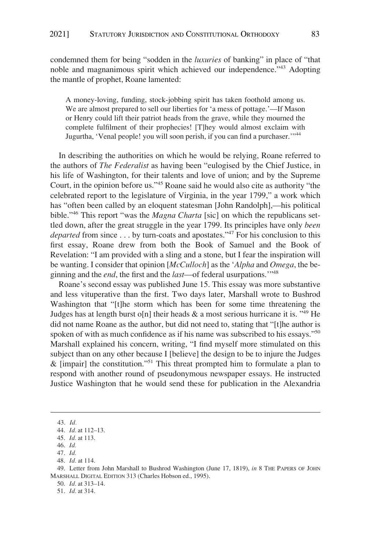condemned them for being "sodden in the *luxuries* of banking" in place of "that noble and magnanimous spirit which achieved our independence."<sup>43</sup> Adopting the mantle of prophet, Roane lamented:

A money-loving, funding, stock-jobbing spirit has taken foothold among us. We are almost prepared to sell our liberties for 'a mess of pottage.'—If Mason or Henry could lift their patriot heads from the grave, while they mourned the complete fulfilment of their prophecies! [T]hey would almost exclaim with Jugurtha, 'Venal people! you will soon perish, if you can find a purchaser.'"<sup>44</sup>

In describing the authorities on which he would be relying, Roane referred to the authors of *The Federalist* as having been "eulogised by the Chief Justice, in his life of Washington, for their talents and love of union; and by the Supreme Court, in the opinion before us."45 Roane said he would also cite as authority "the celebrated report to the legislature of Virginia, in the year 1799," a work which has "often been called by an eloquent statesman [John Randolph],—his political bible."46 This report "was the *Magna Charta* [sic] on which the republicans settled down, after the great struggle in the year 1799. Its principles have only *been departed* from since . . . by turn-coats and apostates."<sup>47</sup> For his conclusion to this first essay, Roane drew from both the Book of Samuel and the Book of Revelation: "I am provided with a sling and a stone, but I fear the inspiration will be wanting. I consider that opinion [*McCulloch*] as the '*Alpha* and *Omega*, the beginning and the *end*, the first and the *last*—of federal usurpations.'"48

Roane's second essay was published June 15. This essay was more substantive and less vituperative than the first. Two days later, Marshall wrote to Bushrod Washington that "[t]he storm which has been for some time threatening the Judges has at length burst o[n] their heads  $\&$  a most serious hurricane it is.  $149$  He did not name Roane as the author, but did not need to, stating that "[t]he author is spoken of with as much confidence as if his name was subscribed to his essays."<sup>50</sup> Marshall explained his concern, writing, "I find myself more stimulated on this subject than on any other because I [believe] the design to be to injure the Judges & [impair] the constitution."51 This threat prompted him to formulate a plan to respond with another round of pseudonymous newspaper essays. He instructed Justice Washington that he would send these for publication in the Alexandria

<sup>43.</sup> *Id.* 

<sup>44.</sup> *Id.* at 112–13.

<sup>45.</sup> *Id.* at 113.

<sup>46.</sup> *Id.* 

<sup>47.</sup> *Id.* 

<sup>48.</sup> *Id.* at 114.

<sup>49.</sup> Letter from John Marshall to Bushrod Washington (June 17, 1819), *in* 8 THE PAPERS OF JOHN MARSHALL DIGITAL EDITION 313 (Charles Hobson ed., 1995).

<sup>50.</sup> *Id.* at 313–14.

<sup>51.</sup> *Id.* at 314.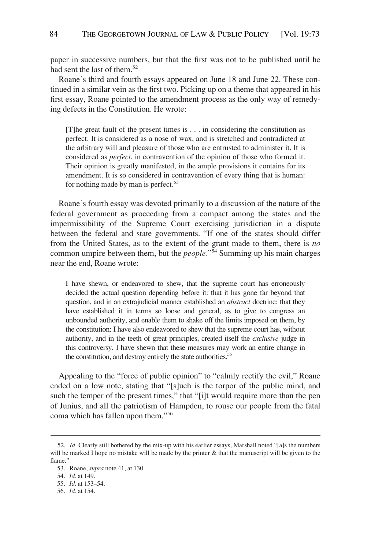paper in successive numbers, but that the first was not to be published until he had sent the last of them.<sup>52</sup>

Roane's third and fourth essays appeared on June 18 and June 22. These continued in a similar vein as the first two. Picking up on a theme that appeared in his first essay, Roane pointed to the amendment process as the only way of remedying defects in the Constitution. He wrote:

[T]he great fault of the present times is . . . in considering the constitution as perfect. It is considered as a nose of wax, and is stretched and contradicted at the arbitrary will and pleasure of those who are entrusted to administer it. It is considered as *perfect*, in contravention of the opinion of those who formed it. Their opinion is greatly manifested, in the ample provisions it contains for its amendment. It is so considered in contravention of every thing that is human: for nothing made by man is perfect.<sup>53</sup>

Roane's fourth essay was devoted primarily to a discussion of the nature of the federal government as proceeding from a compact among the states and the impermissibility of the Supreme Court exercising jurisdiction in a dispute between the federal and state governments. "If one of the states should differ from the United States, as to the extent of the grant made to them, there is *no*  common umpire between them, but the *people.*"54 Summing up his main charges near the end, Roane wrote:

I have shewn, or endeavored to shew, that the supreme court has erroneously decided the actual question depending before it: that it has gone far beyond that question, and in an extrajudicial manner established an *abstract* doctrine: that they have established it in terms so loose and general, as to give to congress an unbounded authority, and enable them to shake off the limits imposed on them, by the constitution: I have also endeavored to shew that the supreme court has, without authority, and in the teeth of great principles, created itself the *exclusive* judge in this controversy. I have shewn that these measures may work an entire change in the constitution, and destroy entirely the state authorities.<sup>55</sup>

Appealing to the "force of public opinion" to "calmly rectify the evil," Roane ended on a low note, stating that "[s]uch is the torpor of the public mind, and such the temper of the present times," that "[i]t would require more than the pen of Junius, and all the patriotism of Hampden, to rouse our people from the fatal coma which has fallen upon them."56

<sup>52.</sup> *Id.* Clearly still bothered by the mix-up with his earlier essays, Marshall noted "[a]s the numbers will be marked I hope no mistake will be made by the printer & that the manuscript will be given to the flame."

<sup>53.</sup> Roane, *supra* note 41, at 130.

<sup>54.</sup> *Id.* at 149.

<sup>55.</sup> *Id.* at 153–54.

<sup>56.</sup> *Id.* at 154.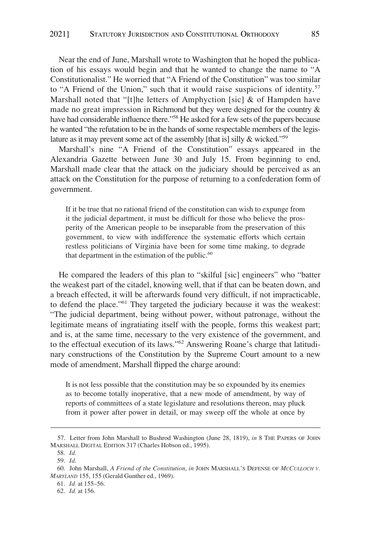Near the end of June, Marshall wrote to Washington that he hoped the publication of his essays would begin and that he wanted to change the name to "A Constitutionalist." He worried that "A Friend of the Constitution" was too similar to "A Friend of the Union," such that it would raise suspicions of identity.<sup>57</sup> Marshall noted that "[t]he letters of Amphyction [sic]  $\&$  of Hampden have made no great impression in Richmond but they were designed for the country & have had considerable influence there."<sup>58</sup> He asked for a few sets of the papers because he wanted "the refutation to be in the hands of some respectable members of the legislature as it may prevent some act of the assembly [that is] silly & wicked."59

Marshall's nine "A Friend of the Constitution" essays appeared in the Alexandria Gazette between June 30 and July 15. From beginning to end, Marshall made clear that the attack on the judiciary should be perceived as an attack on the Constitution for the purpose of returning to a confederation form of government.

If it be true that no rational friend of the constitution can wish to expunge from it the judicial department, it must be difficult for those who believe the prosperity of the American people to be inseparable from the preservation of this government, to view with indifference the systematic efforts which certain restless politicians of Virginia have been for some time making, to degrade that department in the estimation of the public. $60$ 

He compared the leaders of this plan to "skilful [sic] engineers" who "batter the weakest part of the citadel, knowing well, that if that can be beaten down, and a breach effected, it will be afterwards found very difficult, if not impracticable, to defend the place."61 They targeted the judiciary because it was the weakest: "The judicial department, being without power, without patronage, without the legitimate means of ingratiating itself with the people, forms this weakest part; and is, at the same time, necessary to the very existence of the government, and to the effectual execution of its laws."62 Answering Roane's charge that latitudinary constructions of the Constitution by the Supreme Court amount to a new mode of amendment, Marshall flipped the charge around:

It is not less possible that the constitution may be so expounded by its enemies as to become totally inoperative, that a new mode of amendment, by way of reports of committees of a state legislature and resolutions thereon, may pluck from it power after power in detail, or may sweep off the whole at once by

<sup>57.</sup> Letter from John Marshall to Bushrod Washington (June 28, 1819), *in* 8 THE PAPERS OF JOHN MARSHALL DIGITAL EDITION 317 (Charles Hobson ed., 1995).

<sup>58.</sup> *Id.* 

<sup>59.</sup> *Id.* 

<sup>60.</sup> John Marshall, *A Friend of the Constitution*, *in* JOHN MARSHALL'S DEFENSE OF *MCCULLOCH V. MARYLAND* 155, 155 (Gerald Gunther ed., 1969).

<sup>61.</sup> *Id.* at 155–56.

<sup>62.</sup> *Id.* at 156.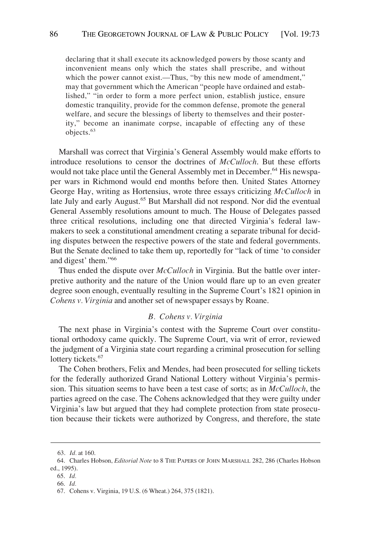<span id="page-14-0"></span>declaring that it shall execute its acknowledged powers by those scanty and inconvenient means only which the states shall prescribe, and without which the power cannot exist.—Thus, "by this new mode of amendment," may that government which the American "people have ordained and established," "in order to form a more perfect union, establish justice, ensure domestic tranquility, provide for the common defense, promote the general welfare, and secure the blessings of liberty to themselves and their posterity," become an inanimate corpse, incapable of effecting any of these objects.<sup>63</sup>

Marshall was correct that Virginia's General Assembly would make efforts to introduce resolutions to censor the doctrines of *McCulloch*. But these efforts would not take place until the General Assembly met in December.<sup>64</sup> His newspaper wars in Richmond would end months before then. United States Attorney George Hay, writing as Hortensius, wrote three essays criticizing *McCulloch* in late July and early August.<sup>65</sup> But Marshall did not respond. Nor did the eventual General Assembly resolutions amount to much. The House of Delegates passed three critical resolutions, including one that directed Virginia's federal lawmakers to seek a constitutional amendment creating a separate tribunal for deciding disputes between the respective powers of the state and federal governments. But the Senate declined to take them up, reportedly for "lack of time 'to consider and digest' them."66

Thus ended the dispute over *McCulloch* in Virginia. But the battle over interpretive authority and the nature of the Union would flare up to an even greater degree soon enough, eventually resulting in the Supreme Court's 1821 opinion in *Cohens v. Virginia* and another set of newspaper essays by Roane.

#### *B. Cohens v. Virginia*

The next phase in Virginia's contest with the Supreme Court over constitutional orthodoxy came quickly. The Supreme Court, via writ of error, reviewed the judgment of a Virginia state court regarding a criminal prosecution for selling lottery tickets.<sup>67</sup>

The Cohen brothers, Felix and Mendes, had been prosecuted for selling tickets for the federally authorized Grand National Lottery without Virginia's permission. This situation seems to have been a test case of sorts; as in *McCulloch*, the parties agreed on the case. The Cohens acknowledged that they were guilty under Virginia's law but argued that they had complete protection from state prosecution because their tickets were authorized by Congress, and therefore, the state

<sup>63.</sup> *Id.* at 160.

<sup>64.</sup> Charles Hobson, *Editorial Note* to 8 THE PAPERS OF JOHN MARSHALL 282, 286 (Charles Hobson ed., 1995).

<sup>65.</sup> *Id.* 

<sup>66.</sup> *Id.* 

<sup>67.</sup> Cohens v. Virginia, 19 U.S. (6 Wheat.) 264, 375 (1821).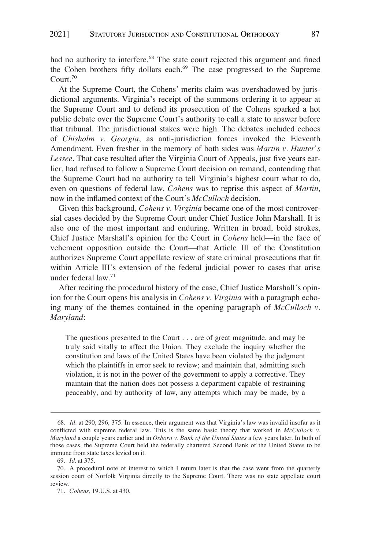had no authority to interfere.<sup>68</sup> The state court rejected this argument and fined the Cohen brothers fifty dollars each.<sup>69</sup> The case progressed to the Supreme Court.70

At the Supreme Court, the Cohens' merits claim was overshadowed by jurisdictional arguments. Virginia's receipt of the summons ordering it to appear at the Supreme Court and to defend its prosecution of the Cohens sparked a hot public debate over the Supreme Court's authority to call a state to answer before that tribunal. The jurisdictional stakes were high. The debates included echoes of *Chisholm v. Georgia*, as anti-jurisdiction forces invoked the Eleventh Amendment. Even fresher in the memory of both sides was *Martin v. Hunter's Lessee*. That case resulted after the Virginia Court of Appeals, just five years earlier, had refused to follow a Supreme Court decision on remand, contending that the Supreme Court had no authority to tell Virginia's highest court what to do, even on questions of federal law. *Cohens* was to reprise this aspect of *Martin*, now in the inflamed context of the Court's *McCulloch* decision.

Given this background, *Cohens v. Virginia* became one of the most controversial cases decided by the Supreme Court under Chief Justice John Marshall. It is also one of the most important and enduring. Written in broad, bold strokes, Chief Justice Marshall's opinion for the Court in *Cohens* held—in the face of vehement opposition outside the Court—that Article III of the Constitution authorizes Supreme Court appellate review of state criminal prosecutions that fit within Article III's extension of the federal judicial power to cases that arise under federal law.71

After reciting the procedural history of the case, Chief Justice Marshall's opinion for the Court opens his analysis in *Cohens v. Virginia* with a paragraph echoing many of the themes contained in the opening paragraph of *McCulloch v. Maryland*:

The questions presented to the Court . . . are of great magnitude, and may be truly said vitally to affect the Union. They exclude the inquiry whether the constitution and laws of the United States have been violated by the judgment which the plaintiffs in error seek to review; and maintain that, admitting such violation, it is not in the power of the government to apply a corrective. They maintain that the nation does not possess a department capable of restraining peaceably, and by authority of law, any attempts which may be made, by a

<sup>68.</sup> *Id.* at 290, 296, 375. In essence, their argument was that Virginia's law was invalid insofar as it conflicted with supreme federal law. This is the same basic theory that worked in *McCulloch v. Maryland* a couple years earlier and in *Osborn v. Bank of the United States* a few years later. In both of those cases, the Supreme Court held the federally chartered Second Bank of the United States to be immune from state taxes levied on it.

<sup>69.</sup> *Id.* at 375.

<sup>70.</sup> A procedural note of interest to which I return later is that the case went from the quarterly session court of Norfolk Virginia directly to the Supreme Court. There was no state appellate court review.

<sup>71.</sup> *Cohens*, 19.U.S. at 430.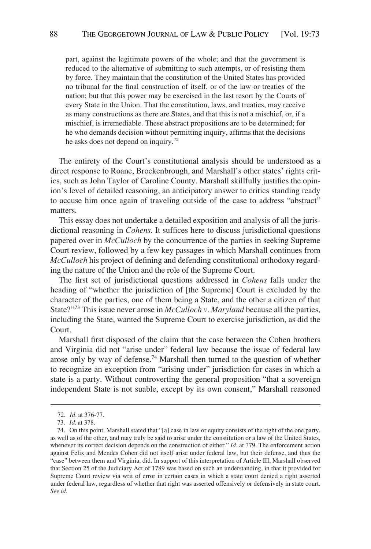part, against the legitimate powers of the whole; and that the government is reduced to the alternative of submitting to such attempts, or of resisting them by force. They maintain that the constitution of the United States has provided no tribunal for the final construction of itself, or of the law or treaties of the nation; but that this power may be exercised in the last resort by the Courts of every State in the Union. That the constitution, laws, and treaties, may receive as many constructions as there are States, and that this is not a mischief, or, if a mischief, is irremediable. These abstract propositions are to be determined; for he who demands decision without permitting inquiry, affirms that the decisions he asks does not depend on inquiry.<sup>72</sup>

The entirety of the Court's constitutional analysis should be understood as a direct response to Roane, Brockenbrough, and Marshall's other states' rights critics, such as John Taylor of Caroline County. Marshall skillfully justifies the opinion's level of detailed reasoning, an anticipatory answer to critics standing ready to accuse him once again of traveling outside of the case to address "abstract" matters.

This essay does not undertake a detailed exposition and analysis of all the jurisdictional reasoning in *Cohens*. It suffices here to discuss jurisdictional questions papered over in *McCulloch* by the concurrence of the parties in seeking Supreme Court review, followed by a few key passages in which Marshall continues from *McCulloch* his project of defining and defending constitutional orthodoxy regarding the nature of the Union and the role of the Supreme Court.

The first set of jurisdictional questions addressed in *Cohens* falls under the heading of "whether the jurisdiction of [the Supreme] Court is excluded by the character of the parties, one of them being a State, and the other a citizen of that State?"73 This issue never arose in *McCulloch v. Maryland* because all the parties, including the State, wanted the Supreme Court to exercise jurisdiction, as did the Court.

Marshall first disposed of the claim that the case between the Cohen brothers and Virginia did not "arise under" federal law because the issue of federal law arose only by way of defense.74 Marshall then turned to the question of whether to recognize an exception from "arising under" jurisdiction for cases in which a state is a party. Without controverting the general proposition "that a sovereign independent State is not suable, except by its own consent," Marshall reasoned

<sup>72.</sup> *Id.* at 376-77.

<sup>73.</sup> *Id.* at 378.

<sup>74.</sup> On this point, Marshall stated that "[a] case in law or equity consists of the right of the one party, as well as of the other, and may truly be said to arise under the constitution or a law of the United States, whenever its correct decision depends on the construction of either." *Id*. at 379. The enforcement action against Felix and Mendes Cohen did not itself arise under federal law, but their defense, and thus the "case" between them and Virginia, did. In support of this interpretation of Article III, Marshall observed that Section 25 of the Judiciary Act of 1789 was based on such an understanding, in that it provided for Supreme Court review via writ of error in certain cases in which a state court denied a right asserted under federal law, regardless of whether that right was asserted offensively or defensively in state court. *See id.*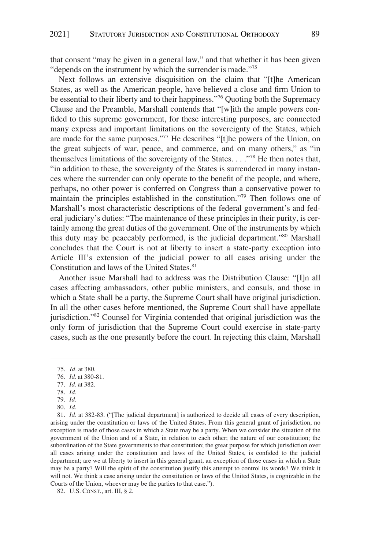that consent "may be given in a general law," and that whether it has been given "depends on the instrument by which the surrender is made."<sup>75</sup>

Next follows an extensive disquisition on the claim that "[t]he American States, as well as the American people, have believed a close and firm Union to be essential to their liberty and to their happiness."76 Quoting both the Supremacy Clause and the Preamble, Marshall contends that "[w]ith the ample powers confided to this supreme government, for these interesting purposes, are connected many express and important limitations on the sovereignty of the States, which are made for the same purposes."77 He describes "[t]he powers of the Union, on the great subjects of war, peace, and commerce, and on many others," as "in themselves limitations of the sovereignty of the States. . . ."78 He then notes that, "in addition to these, the sovereignty of the States is surrendered in many instances where the surrender can only operate to the benefit of the people, and where, perhaps, no other power is conferred on Congress than a conservative power to maintain the principles established in the constitution."79 Then follows one of Marshall's most characteristic descriptions of the federal government's and federal judiciary's duties: "The maintenance of these principles in their purity, is certainly among the great duties of the government. One of the instruments by which this duty may be peaceably performed, is the judicial department."80 Marshall concludes that the Court is not at liberty to insert a state-party exception into Article III's extension of the judicial power to all cases arising under the Constitution and laws of the United States.<sup>81</sup>

Another issue Marshall had to address was the Distribution Clause: "[I]n all cases affecting ambassadors, other public ministers, and consuls, and those in which a State shall be a party, the Supreme Court shall have original jurisdiction. In all the other cases before mentioned, the Supreme Court shall have appellate jurisdiction."82 Counsel for Virginia contended that original jurisdiction was the only form of jurisdiction that the Supreme Court could exercise in state-party cases, such as the one presently before the court. In rejecting this claim, Marshall

- 78. *Id.*
- 79. *Id.*

<sup>75.</sup> *Id.* at 380.

<sup>76.</sup> *Id.* at 380-81.

<sup>77.</sup> *Id.* at 382.

<sup>80.</sup> *Id.* 

<sup>81.</sup> *Id.* at 382-83. ("[The judicial department] is authorized to decide all cases of every description, arising under the constitution or laws of the United States. From this general grant of jurisdiction, no exception is made of those cases in which a State may be a party. When we consider the situation of the government of the Union and of a State, in relation to each other; the nature of our constitution; the subordination of the State governments to that constitution; the great purpose for which jurisdiction over all cases arising under the constitution and laws of the United States, is confided to the judicial department; are we at liberty to insert in this general grant, an exception of those cases in which a State may be a party? Will the spirit of the constitution justify this attempt to control its words? We think it will not. We think a case arising under the constitution or laws of the United States, is cognizable in the Courts of the Union, whoever may be the parties to that case.").

<sup>82.</sup> U.S. CONST., art. III, § 2.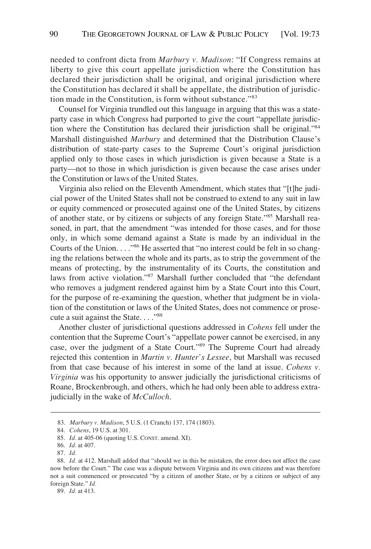needed to confront dicta from *Marbury v. Madison*: "If Congress remains at liberty to give this court appellate jurisdiction where the Constitution has declared their jurisdiction shall be original, and original jurisdiction where the Constitution has declared it shall be appellate, the distribution of jurisdiction made in the Constitution, is form without substance."<sup>83</sup>

Counsel for Virginia trundled out this language in arguing that this was a stateparty case in which Congress had purported to give the court "appellate jurisdiction where the Constitution has declared their jurisdiction shall be original."<sup>84</sup> Marshall distinguished *Marbury* and determined that the Distribution Clause's distribution of state-party cases to the Supreme Court's original jurisdiction applied only to those cases in which jurisdiction is given because a State is a party—not to those in which jurisdiction is given because the case arises under the Constitution or laws of the United States.

Virginia also relied on the Eleventh Amendment, which states that "[t]he judicial power of the United States shall not be construed to extend to any suit in law or equity commenced or prosecuted against one of the United States, by citizens of another state, or by citizens or subjects of any foreign State."<sup>85</sup> Marshall reasoned, in part, that the amendment "was intended for those cases, and for those only, in which some demand against a State is made by an individual in the Courts of the Union. . . .<sup>"86</sup> He asserted that "no interest could be felt in so changing the relations between the whole and its parts, as to strip the government of the means of protecting, by the instrumentality of its Courts, the constitution and laws from active violation."87 Marshall further concluded that "the defendant who removes a judgment rendered against him by a State Court into this Court, for the purpose of re-examining the question, whether that judgment be in violation of the constitution or laws of the United States, does not commence or prosecute a suit against the State...."<sup>88</sup>

Another cluster of jurisdictional questions addressed in *Cohens* fell under the contention that the Supreme Court's "appellate power cannot be exercised, in any case, over the judgment of a State Court."89 The Supreme Court had already rejected this contention in *Martin v. Hunter's Lessee*, but Marshall was recused from that case because of his interest in some of the land at issue. *Cohens v. Virginia* was his opportunity to answer judicially the jurisdictional criticisms of Roane, Brockenbrough, and others, which he had only been able to address extrajudicially in the wake of *McCulloch*.

89. *Id.* at 413.

<sup>83.</sup> *Marbury v. Madison*, 5 U.S. (1 Cranch) 137, 174 (1803).

<sup>84.</sup> *Cohens*, 19 U.S. at 301.

<sup>85.</sup> *Id.* at 405-06 (quoting U.S. CONST. amend. XI).

<sup>86.</sup> *Id.* at 407.

<sup>87.</sup> *Id.* 

<sup>88.</sup> *Id.* at 412. Marshall added that "should we in this be mistaken, the error does not affect the case now before the Court." The case was a dispute between Virginia and its own citizens and was therefore not a suit commenced or prosecuted "by a citizen of another State, or by a citizen or subject of any foreign State." *Id.*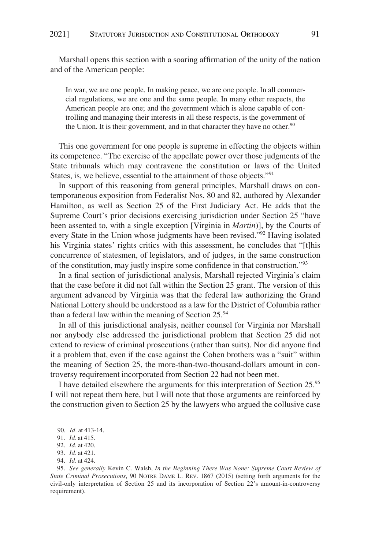Marshall opens this section with a soaring affirmation of the unity of the nation and of the American people:

In war, we are one people. In making peace, we are one people. In all commercial regulations, we are one and the same people. In many other respects, the American people are one; and the government which is alone capable of controlling and managing their interests in all these respects, is the government of the Union. It is their government, and in that character they have no other. $90$ 

This one government for one people is supreme in effecting the objects within its competence. "The exercise of the appellate power over those judgments of the State tribunals which may contravene the constitution or laws of the United States, is, we believe, essential to the attainment of those objects."91

In support of this reasoning from general principles, Marshall draws on contemporaneous exposition from Federalist Nos. 80 and 82, authored by Alexander Hamilton, as well as Section 25 of the First Judiciary Act. He adds that the Supreme Court's prior decisions exercising jurisdiction under Section 25 "have been assented to, with a single exception [Virginia in *Martin*)], by the Courts of every State in the Union whose judgments have been revised."<sup>92</sup> Having isolated his Virginia states' rights critics with this assessment, he concludes that "[t]his concurrence of statesmen, of legislators, and of judges, in the same construction of the constitution, may justly inspire some confidence in that construction."93

In a final section of jurisdictional analysis, Marshall rejected Virginia's claim that the case before it did not fall within the Section 25 grant. The version of this argument advanced by Virginia was that the federal law authorizing the Grand National Lottery should be understood as a law for the District of Columbia rather than a federal law within the meaning of Section  $25.^{94}$ 

In all of this jurisdictional analysis, neither counsel for Virginia nor Marshall nor anybody else addressed the jurisdictional problem that Section 25 did not extend to review of criminal prosecutions (rather than suits). Nor did anyone find it a problem that, even if the case against the Cohen brothers was a "suit" within the meaning of Section 25, the more-than-two-thousand-dollars amount in controversy requirement incorporated from Section 22 had not been met.

I have detailed elsewhere the arguments for this interpretation of Section 25.<sup>95</sup> I will not repeat them here, but I will note that those arguments are reinforced by the construction given to Section 25 by the lawyers who argued the collusive case

<sup>90.</sup> *Id.* at 413-14.

<sup>91.</sup> *Id.* at 415.

<sup>92.</sup> *Id.* at 420.

<sup>93.</sup> *Id.* at 421.

<sup>94.</sup> *Id.* at 424.

<sup>95.</sup> *See generally* Kevin C. Walsh, *In the Beginning There Was None: Supreme Court Review of State Criminal Prosecutions*, 90 NOTRE DAME L. REV. 1867 (2015) (setting forth arguments for the civil-only interpretation of Section 25 and its incorporation of Section 22's amount-in-controversy requirement).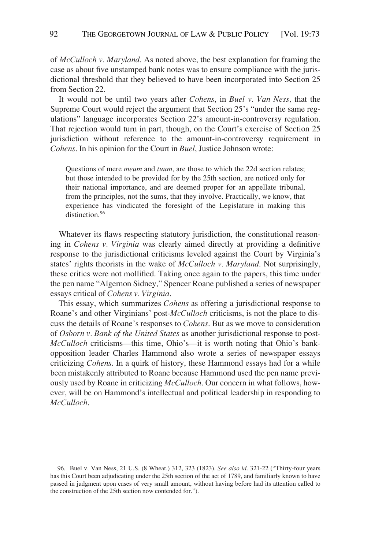of *McCulloch v. Maryland*. As noted above, the best explanation for framing the case as about five unstamped bank notes was to ensure compliance with the jurisdictional threshold that they believed to have been incorporated into Section 25 from Section 22.

It would not be until two years after *Cohens*, in *Buel v. Van Ness,* that the Supreme Court would reject the argument that Section 25's "under the same regulations" language incorporates Section 22's amount-in-controversy regulation. That rejection would turn in part, though, on the Court's exercise of Section 25 jurisdiction without reference to the amount-in-controversy requirement in *Cohens*. In his opinion for the Court in *Buel*, Justice Johnson wrote:

Questions of mere *meum* and *tuum*, are those to which the 22d section relates; but those intended to be provided for by the 25th section, are noticed only for their national importance, and are deemed proper for an appellate tribunal, from the principles, not the sums, that they involve. Practically, we know, that experience has vindicated the foresight of the Legislature in making this distinction.<sup>96</sup>

Whatever its flaws respecting statutory jurisdiction, the constitutional reasoning in *Cohens v. Virginia* was clearly aimed directly at providing a definitive response to the jurisdictional criticisms leveled against the Court by Virginia's states' rights theorists in the wake of *McCulloch v. Maryland*. Not surprisingly, these critics were not mollified. Taking once again to the papers, this time under the pen name "Algernon Sidney," Spencer Roane published a series of newspaper essays critical of *Cohens v. Virginia*.

This essay, which summarizes *Cohens* as offering a jurisdictional response to Roane's and other Virginians' post-*McCulloch* criticisms, is not the place to discuss the details of Roane's responses to *Cohens*. But as we move to consideration of *Osborn v. Bank of the United States* as another jurisdictional response to post-*McCulloch* criticisms—this time, Ohio's—it is worth noting that Ohio's bankopposition leader Charles Hammond also wrote a series of newspaper essays criticizing *Cohens*. In a quirk of history, these Hammond essays had for a while been mistakenly attributed to Roane because Hammond used the pen name previously used by Roane in criticizing *McCulloch*. Our concern in what follows, however, will be on Hammond's intellectual and political leadership in responding to *McCulloch*.

<sup>96.</sup> Buel v. Van Ness, 21 U.S. (8 Wheat.) 312, 323 (1823). *See also id.* 321-22 ("Thirty-four years has this Court been adjudicating under the 25th section of the act of 1789, and familiarly known to have passed in judgment upon cases of very small amount, without having before had its attention called to the construction of the 25th section now contended for.").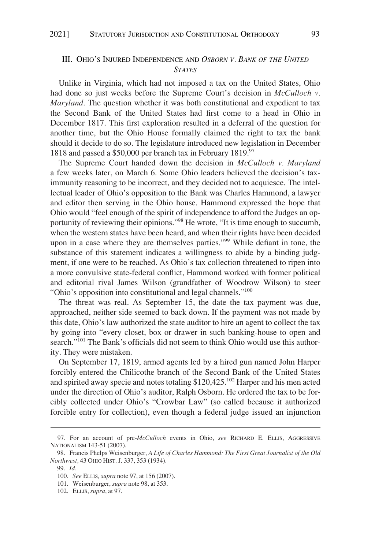### <span id="page-21-0"></span>III. OHIO'S INJURED INDEPENDENCE AND *OSBORN V. BANK OF THE UNITED STATES*

Unlike in Virginia, which had not imposed a tax on the United States, Ohio had done so just weeks before the Supreme Court's decision in *McCulloch v. Maryland*. The question whether it was both constitutional and expedient to tax the Second Bank of the United States had first come to a head in Ohio in December 1817. This first exploration resulted in a deferral of the question for another time, but the Ohio House formally claimed the right to tax the bank should it decide to do so. The legislature introduced new legislation in December 1818 and passed a \$50,000 per branch tax in February 1819.97

The Supreme Court handed down the decision in *McCulloch v. Maryland*  a few weeks later, on March 6. Some Ohio leaders believed the decision's taximmunity reasoning to be incorrect, and they decided not to acquiesce. The intellectual leader of Ohio's opposition to the Bank was Charles Hammond, a lawyer and editor then serving in the Ohio house. Hammond expressed the hope that Ohio would "feel enough of the spirit of independence to afford the Judges an opportunity of reviewing their opinions."98 He wrote, "It is time enough to succumb, when the western states have been heard, and when their rights have been decided upon in a case where they are themselves parties."99 While defiant in tone, the substance of this statement indicates a willingness to abide by a binding judgment, if one were to be reached. As Ohio's tax collection threatened to ripen into a more convulsive state-federal conflict, Hammond worked with former political and editorial rival James Wilson (grandfather of Woodrow Wilson) to steer "Ohio's opposition into constitutional and legal channels."<sup>100</sup>

The threat was real. As September 15, the date the tax payment was due, approached, neither side seemed to back down. If the payment was not made by this date, Ohio's law authorized the state auditor to hire an agent to collect the tax by going into "every closet, box or drawer in such banking-house to open and search."<sup>101</sup> The Bank's officials did not seem to think Ohio would use this authority. They were mistaken.

On September 17, 1819, armed agents led by a hired gun named John Harper forcibly entered the Chilicothe branch of the Second Bank of the United States and spirited away specie and notes totaling \$120,425.<sup>102</sup> Harper and his men acted under the direction of Ohio's auditor, Ralph Osborn. He ordered the tax to be forcibly collected under Ohio's "Crowbar Law" (so called because it authorized forcible entry for collection), even though a federal judge issued an injunction

<sup>97.</sup> For an account of pre-*McCulloch* events in Ohio, *see* RICHARD E. ELLIS, AGGRESSIVE NATIONALISM 143-51 (2007).

<sup>98.</sup> Francis Phelps Weisenburger, *A Life of Charles Hammond: The First Great Journalist of the Old Northwest,* 43 OHIO HIST. J. 337, 353 (1934).

<sup>99.</sup> *Id.* 

<sup>100.</sup> *See* ELLIS*, supra* note 97, at 156 (2007).

<sup>101.</sup> Weisenburger, *supra* note 98, at 353.

<sup>102.</sup> ELLIS, *supra*, at 97.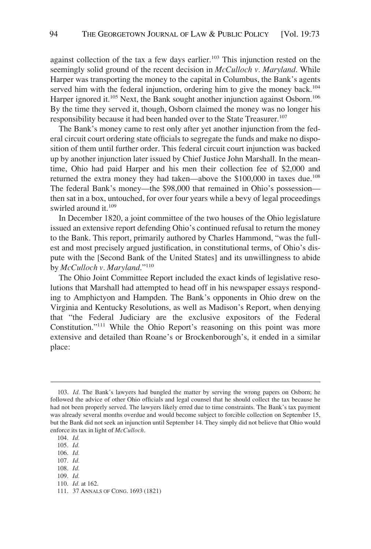against collection of the tax a few days earlier.<sup>103</sup> This injunction rested on the seemingly solid ground of the recent decision in *McCulloch v. Maryland*. While Harper was transporting the money to the capital in Columbus, the Bank's agents served him with the federal injunction, ordering him to give the money back.<sup>104</sup> Harper ignored it.<sup>105</sup> Next, the Bank sought another injunction against Osborn.<sup>106</sup> By the time they served it, though, Osborn claimed the money was no longer his responsibility because it had been handed over to the State Treasurer.<sup>107</sup>

The Bank's money came to rest only after yet another injunction from the federal circuit court ordering state officials to segregate the funds and make no disposition of them until further order. This federal circuit court injunction was backed up by another injunction later issued by Chief Justice John Marshall. In the meantime, Ohio had paid Harper and his men their collection fee of \$2,000 and returned the extra money they had taken—above the \$100,000 in taxes due.<sup>108</sup> The federal Bank's money—the \$98,000 that remained in Ohio's possession then sat in a box, untouched, for over four years while a bevy of legal proceedings swirled around it.<sup>109</sup>

In December 1820, a joint committee of the two houses of the Ohio legislature issued an extensive report defending Ohio's continued refusal to return the money to the Bank. This report, primarily authored by Charles Hammond, "was the fullest and most precisely argued justification, in constitutional terms, of Ohio's dispute with the [Second Bank of the United States] and its unwillingness to abide by *McCulloch v. Maryland*."<sup>110</sup>

The Ohio Joint Committee Report included the exact kinds of legislative resolutions that Marshall had attempted to head off in his newspaper essays responding to Amphictyon and Hampden. The Bank's opponents in Ohio drew on the Virginia and Kentucky Resolutions, as well as Madison's Report, when denying that "the Federal Judiciary are the exclusive expositors of the Federal Constitution."111 While the Ohio Report's reasoning on this point was more extensive and detailed than Roane's or Brockenborough's, it ended in a similar place:

- 107. *Id.*  108. *Id.*
- 109. *Id.*
- 110. *Id.* at 162.

<sup>103.</sup> *Id.* The Bank's lawyers had bungled the matter by serving the wrong papers on Osborn; he followed the advice of other Ohio officials and legal counsel that he should collect the tax because he had not been properly served. The lawyers likely erred due to time constraints. The Bank's tax payment was already several months overdue and would become subject to forcible collection on September 15, but the Bank did not seek an injunction until September 14. They simply did not believe that Ohio would enforce its tax in light of *McCulloch*.

<sup>104.</sup> *Id.* 

<sup>105.</sup> *Id.* 

<sup>106.</sup> *Id.* 

<sup>111. 37</sup> ANNALS OF CONG. 1693 (1821)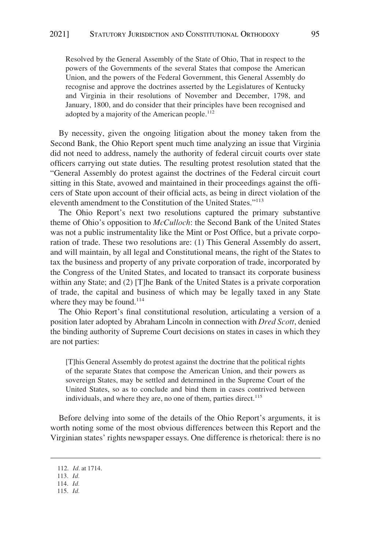Resolved by the General Assembly of the State of Ohio, That in respect to the powers of the Governments of the several States that compose the American Union, and the powers of the Federal Government, this General Assembly do recognise and approve the doctrines asserted by the Legislatures of Kentucky and Virginia in their resolutions of November and December, 1798, and January, 1800, and do consider that their principles have been recognised and adopted by a majority of the American people.<sup>112</sup>

By necessity, given the ongoing litigation about the money taken from the Second Bank, the Ohio Report spent much time analyzing an issue that Virginia did not need to address, namely the authority of federal circuit courts over state officers carrying out state duties. The resulting protest resolution stated that the "General Assembly do protest against the doctrines of the Federal circuit court sitting in this State, avowed and maintained in their proceedings against the officers of State upon account of their official acts, as being in direct violation of the eleventh amendment to the Constitution of the United States."113

The Ohio Report's next two resolutions captured the primary substantive theme of Ohio's opposition to *McCulloch*: the Second Bank of the United States was not a public instrumentality like the Mint or Post Office, but a private corporation of trade. These two resolutions are: (1) This General Assembly do assert, and will maintain, by all legal and Constitutional means, the right of the States to tax the business and property of any private corporation of trade, incorporated by the Congress of the United States, and located to transact its corporate business within any State; and (2) [T]he Bank of the United States is a private corporation of trade, the capital and business of which may be legally taxed in any State where they may be found.<sup>114</sup>

The Ohio Report's final constitutional resolution, articulating a version of a position later adopted by Abraham Lincoln in connection with *Dred Scott*, denied the binding authority of Supreme Court decisions on states in cases in which they are not parties:

[T]his General Assembly do protest against the doctrine that the political rights of the separate States that compose the American Union, and their powers as sovereign States, may be settled and determined in the Supreme Court of the United States, so as to conclude and bind them in cases contrived between individuals, and where they are, no one of them, parties direct.<sup>115</sup>

Before delving into some of the details of the Ohio Report's arguments, it is worth noting some of the most obvious differences between this Report and the Virginian states' rights newspaper essays. One difference is rhetorical: there is no

- 114. *Id.*
- 115. *Id.*

<sup>112.</sup> *Id.* at 1714.

<sup>113.</sup> *Id.*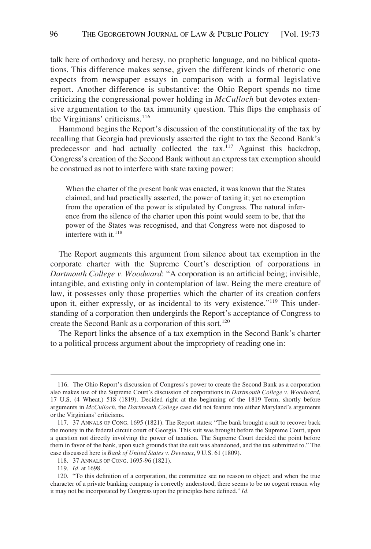talk here of orthodoxy and heresy, no prophetic language, and no biblical quotations. This difference makes sense, given the different kinds of rhetoric one expects from newspaper essays in comparison with a formal legislative report. Another difference is substantive: the Ohio Report spends no time criticizing the congressional power holding in *McCulloch* but devotes extensive argumentation to the tax immunity question. This flips the emphasis of the Virginians' criticisms.<sup>116</sup>

Hammond begins the Report's discussion of the constitutionality of the tax by recalling that Georgia had previously asserted the right to tax the Second Bank's predecessor and had actually collected the tax.<sup>117</sup> Against this backdrop, Congress's creation of the Second Bank without an express tax exemption should be construed as not to interfere with state taxing power:

When the charter of the present bank was enacted, it was known that the States claimed, and had practically asserted, the power of taxing it; yet no exemption from the operation of the power is stipulated by Congress. The natural inference from the silence of the charter upon this point would seem to be, that the power of the States was recognised, and that Congress were not disposed to interfere with it.<sup>118</sup>

The Report augments this argument from silence about tax exemption in the corporate charter with the Supreme Court's description of corporations in *Dartmouth College v. Woodward*: "A corporation is an artificial being; invisible, intangible, and existing only in contemplation of law. Being the mere creature of law, it possesses only those properties which the charter of its creation confers upon it, either expressly, or as incidental to its very existence."<sup>119</sup> This understanding of a corporation then undergirds the Report's acceptance of Congress to create the Second Bank as a corporation of this sort.<sup>120</sup>

The Report links the absence of a tax exemption in the Second Bank's charter to a political process argument about the impropriety of reading one in:

<sup>116.</sup> The Ohio Report's discussion of Congress's power to create the Second Bank as a corporation also makes use of the Supreme Court's discussion of corporations in *Dartmouth College v. Woodward*, 17 U.S. (4 Wheat.) 518 (1819). Decided right at the beginning of the 1819 Term, shortly before arguments in *McCulloch*, the *Dartmouth College* case did not feature into either Maryland's arguments or the Virginians' criticisms.

<sup>117. 37</sup> ANNALS OF CONG. 1695 (1821). The Report states: "The bank brought a suit to recover back the money in the federal circuit court of Georgia. This suit was brought before the Supreme Court, upon a question not directly involving the power of taxation. The Supreme Court decided the point before them in favor of the bank, upon such grounds that the suit was abandoned, and the tax submitted to." The case discussed here is *Bank of United States v. Deveaux*, 9 U.S. 61 (1809).

<sup>118. 37</sup> ANNALS OF CONG. 1695-96 (1821).

<sup>119.</sup> *Id.* at 1698.

<sup>120. &</sup>quot;To this definition of a corporation, the committee see no reason to object; and when the true character of a private banking company is correctly understood, there seems to be no cogent reason why it may not be incorporated by Congress upon the principles here defined." *Id.*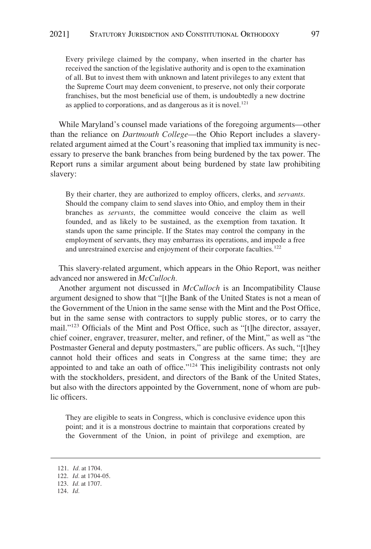Every privilege claimed by the company, when inserted in the charter has received the sanction of the legislative authority and is open to the examination of all. But to invest them with unknown and latent privileges to any extent that the Supreme Court may deem convenient, to preserve, not only their corporate franchises, but the most beneficial use of them, is undoubtedly a new doctrine as applied to corporations, and as dangerous as it is novel. $121$ 

While Maryland's counsel made variations of the foregoing arguments—other than the reliance on *Dartmouth College*—the Ohio Report includes a slaveryrelated argument aimed at the Court's reasoning that implied tax immunity is necessary to preserve the bank branches from being burdened by the tax power. The Report runs a similar argument about being burdened by state law prohibiting slavery:

By their charter, they are authorized to employ officers, clerks, and *servants*. Should the company claim to send slaves into Ohio, and employ them in their branches as *servants*, the committee would conceive the claim as well founded, and as likely to be sustained, as the exemption from taxation. It stands upon the same principle. If the States may control the company in the employment of servants, they may embarrass its operations, and impede a free and unrestrained exercise and enjoyment of their corporate faculties.<sup>122</sup>

This slavery-related argument, which appears in the Ohio Report, was neither advanced nor answered in *McCulloch.* 

Another argument not discussed in *McCulloch* is an Incompatibility Clause argument designed to show that "[t]he Bank of the United States is not a mean of the Government of the Union in the same sense with the Mint and the Post Office, but in the same sense with contractors to supply public stores, or to carry the mail."123 Officials of the Mint and Post Office, such as "[t]he director, assayer, chief coiner, engraver, treasurer, melter, and refiner, of the Mint," as well as "the Postmaster General and deputy postmasters," are public officers. As such, "[t]hey cannot hold their offices and seats in Congress at the same time; they are appointed to and take an oath of office."<sup>124</sup> This ineligibility contrasts not only with the stockholders, president, and directors of the Bank of the United States, but also with the directors appointed by the Government, none of whom are public officers.

They are eligible to seats in Congress, which is conclusive evidence upon this point; and it is a monstrous doctrine to maintain that corporations created by the Government of the Union, in point of privilege and exemption, are

<sup>121.</sup> *Id.* at 1704.

<sup>122.</sup> *Id.* at 1704-05.

<sup>123.</sup> *Id.* at 1707.

<sup>124.</sup> *Id.*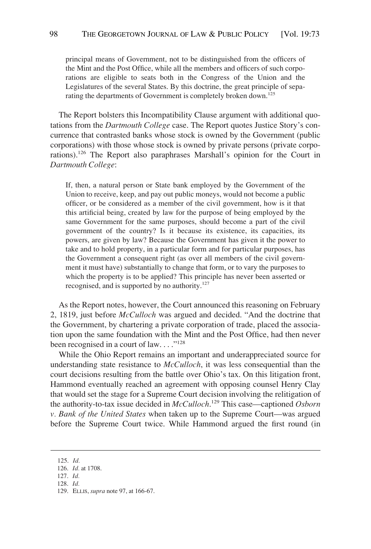principal means of Government, not to be distinguished from the officers of the Mint and the Post Office, while all the members and officers of such corporations are eligible to seats both in the Congress of the Union and the Legislatures of the several States. By this doctrine, the great principle of separating the departments of Government is completely broken down.<sup>125</sup>

The Report bolsters this Incompatibility Clause argument with additional quotations from the *Dartmouth College* case. The Report quotes Justice Story's concurrence that contrasted banks whose stock is owned by the Government (public corporations) with those whose stock is owned by private persons (private corporations).126 The Report also paraphrases Marshall's opinion for the Court in *Dartmouth College*:

If, then, a natural person or State bank employed by the Government of the Union to receive, keep, and pay out public moneys, would not become a public officer, or be considered as a member of the civil government, how is it that this artificial being, created by law for the purpose of being employed by the same Government for the same purposes, should become a part of the civil government of the country? Is it because its existence, its capacities, its powers, are given by law? Because the Government has given it the power to take and to hold property, in a particular form and for particular purposes, has the Government a consequent right (as over all members of the civil government it must have) substantially to change that form, or to vary the purposes to which the property is to be applied? This principle has never been asserted or recognised, and is supported by no authority.<sup>127</sup>

As the Report notes, however, the Court announced this reasoning on February 2, 1819, just before *McCulloch* was argued and decided. "And the doctrine that the Government, by chartering a private corporation of trade, placed the association upon the same foundation with the Mint and the Post Office, had then never been recognised in a court of law...."<sup>128</sup>

While the Ohio Report remains an important and underappreciated source for understanding state resistance to *McCulloch*, it was less consequential than the court decisions resulting from the battle over Ohio's tax. On this litigation front, Hammond eventually reached an agreement with opposing counsel Henry Clay that would set the stage for a Supreme Court decision involving the relitigation of the authority-to-tax issue decided in *McCulloch*. 129 This case—captioned *Osborn v. Bank of the United States* when taken up to the Supreme Court—was argued before the Supreme Court twice. While Hammond argued the first round (in

<sup>125.</sup> *Id.* 

<sup>126.</sup> *Id.* at 1708.

<sup>127.</sup> *Id.* 

<sup>128.</sup> *Id.* 

<sup>129.</sup> ELLIS, *supra* note 97, at 166-67.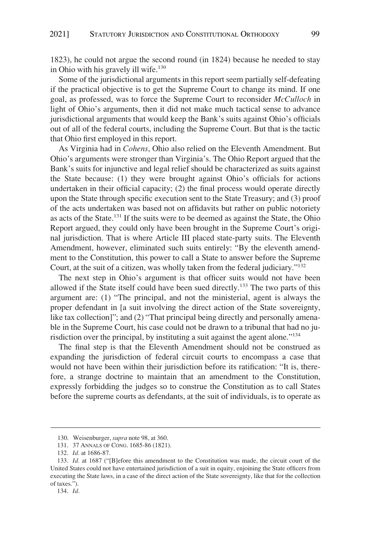1823), he could not argue the second round (in 1824) because he needed to stay in Ohio with his gravely ill wife.<sup>130</sup>

Some of the jurisdictional arguments in this report seem partially self-defeating if the practical objective is to get the Supreme Court to change its mind. If one goal, as professed, was to force the Supreme Court to reconsider *McCulloch* in light of Ohio's arguments, then it did not make much tactical sense to advance jurisdictional arguments that would keep the Bank's suits against Ohio's officials out of all of the federal courts, including the Supreme Court. But that is the tactic that Ohio first employed in this report.

As Virginia had in *Cohens*, Ohio also relied on the Eleventh Amendment. But Ohio's arguments were stronger than Virginia's. The Ohio Report argued that the Bank's suits for injunctive and legal relief should be characterized as suits against the State because: (1) they were brought against Ohio's officials for actions undertaken in their official capacity; (2) the final process would operate directly upon the State through specific execution sent to the State Treasury; and (3) proof of the acts undertaken was based not on affidavits but rather on public notoriety as acts of the State.<sup>131</sup> If the suits were to be deemed as against the State, the Ohio Report argued, they could only have been brought in the Supreme Court's original jurisdiction. That is where Article III placed state-party suits. The Eleventh Amendment, however, eliminated such suits entirely: "By the eleventh amendment to the Constitution, this power to call a State to answer before the Supreme Court, at the suit of a citizen, was wholly taken from the federal judiciary."132

The next step in Ohio's argument is that officer suits would not have been allowed if the State itself could have been sued directly.133 The two parts of this argument are: (1) "The principal, and not the ministerial, agent is always the proper defendant in [a suit involving the direct action of the State sovereignty, like tax collection]"; and (2) "That principal being directly and personally amenable in the Supreme Court, his case could not be drawn to a tribunal that had no jurisdiction over the principal, by instituting a suit against the agent alone."<sup>134</sup>

The final step is that the Eleventh Amendment should not be construed as expanding the jurisdiction of federal circuit courts to encompass a case that would not have been within their jurisdiction before its ratification: "It is, therefore, a strange doctrine to maintain that an amendment to the Constitution, expressly forbidding the judges so to construe the Constitution as to call States before the supreme courts as defendants, at the suit of individuals, is to operate as

<sup>130.</sup> Weisenburger, *supra* note 98, at 360.

<sup>131. 37</sup> ANNALS OF CONG. 1685-86 (1821).

<sup>132.</sup> *Id.* at 1686-87.

<sup>133.</sup> *Id.* at 1687 ("[B]efore this amendment to the Constitution was made, the circuit court of the United States could not have entertained jurisdiction of a suit in equity, enjoining the State officers from executing the State laws, in a case of the direct action of the State sovereignty, like that for the collection of taxes.").

<sup>134.</sup> *Id*.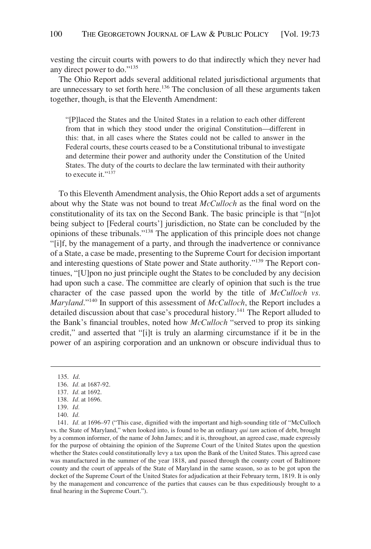vesting the circuit courts with powers to do that indirectly which they never had any direct power to do."135

The Ohio Report adds several additional related jurisdictional arguments that are unnecessary to set forth here.<sup>136</sup> The conclusion of all these arguments taken together, though, is that the Eleventh Amendment:

"[P]laced the States and the United States in a relation to each other different from that in which they stood under the original Constitution—different in this: that, in all cases where the States could not be called to answer in the Federal courts, these courts ceased to be a Constitutional tribunal to investigate and determine their power and authority under the Constitution of the United States. The duty of the courts to declare the law terminated with their authority to execute it."<sup>137</sup>

To this Eleventh Amendment analysis, the Ohio Report adds a set of arguments about why the State was not bound to treat *McCulloch* as the final word on the constitutionality of its tax on the Second Bank. The basic principle is that "[n]ot being subject to [Federal courts'] jurisdiction, no State can be concluded by the opinions of these tribunals."138 The application of this principle does not change "[i]f, by the management of a party, and through the inadvertence or connivance of a State, a case be made, presenting to the Supreme Court for decision important and interesting questions of State power and State authority."139 The Report continues, "[U]pon no just principle ought the States to be concluded by any decision had upon such a case. The committee are clearly of opinion that such is the true character of the case passed upon the world by the title of *McCulloch vs. Maryland*."140 In support of this assessment of *McCulloch*, the Report includes a detailed discussion about that case's procedural history.<sup>141</sup> The Report alluded to the Bank's financial troubles, noted how *McCulloch* "served to prop its sinking credit," and asserted that "[i]t is truly an alarming circumstance if it be in the power of an aspiring corporation and an unknown or obscure individual thus to

<sup>135.</sup> *Id*.

<sup>136.</sup> *Id.* at 1687-92.

<sup>137.</sup> *Id.* at 1692.

<sup>138.</sup> *Id.* at 1696.

<sup>139.</sup> *Id.* 

<sup>140.</sup> *Id.* 

<sup>141.</sup> *Id.* at 1696–97 ("This case, dignified with the important and high-sounding title of "McCulloch vs. the State of Maryland," when looked into, is found to be an ordinary *qui tam* action of debt, brought by a common informer, of the name of John James; and it is, throughout, an agreed case, made expressly for the purpose of obtaining the opinion of the Supreme Court of the United States upon the question whether the States could constitutionally levy a tax upon the Bank of the United States. This agreed case was manufactured in the summer of the year 1818, and passed through the county court of Baltimore county and the court of appeals of the State of Maryland in the same season, so as to be got upon the docket of the Supreme Court of the United States for adjudication at their February term, 1819. It is only by the management and concurrence of the parties that causes can be thus expeditiously brought to a final hearing in the Supreme Court.").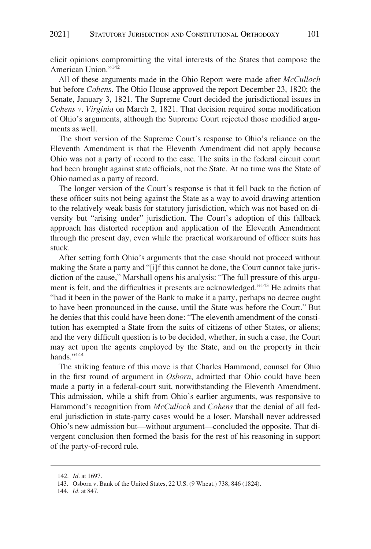elicit opinions compromitting the vital interests of the States that compose the American Union."142

All of these arguments made in the Ohio Report were made after *McCulloch*  but before *Cohens*. The Ohio House approved the report December 23, 1820; the Senate, January 3, 1821. The Supreme Court decided the jurisdictional issues in *Cohens v. Virginia* on March 2, 1821. That decision required some modification of Ohio's arguments, although the Supreme Court rejected those modified arguments as well.

The short version of the Supreme Court's response to Ohio's reliance on the Eleventh Amendment is that the Eleventh Amendment did not apply because Ohio was not a party of record to the case. The suits in the federal circuit court had been brought against state officials, not the State. At no time was the State of Ohio named as a party of record.

The longer version of the Court's response is that it fell back to the fiction of these officer suits not being against the State as a way to avoid drawing attention to the relatively weak basis for statutory jurisdiction, which was not based on diversity but "arising under" jurisdiction. The Court's adoption of this fallback approach has distorted reception and application of the Eleventh Amendment through the present day, even while the practical workaround of officer suits has stuck.

After setting forth Ohio's arguments that the case should not proceed without making the State a party and "[i]f this cannot be done, the Court cannot take jurisdiction of the cause," Marshall opens his analysis: "The full pressure of this argument is felt, and the difficulties it presents are acknowledged."143 He admits that "had it been in the power of the Bank to make it a party, perhaps no decree ought to have been pronounced in the cause, until the State was before the Court." But he denies that this could have been done: "The eleventh amendment of the constitution has exempted a State from the suits of citizens of other States, or aliens; and the very difficult question is to be decided, whether, in such a case, the Court may act upon the agents employed by the State, and on the property in their hands."<sup>144</sup>

The striking feature of this move is that Charles Hammond, counsel for Ohio in the first round of argument in *Osborn*, admitted that Ohio could have been made a party in a federal-court suit, notwithstanding the Eleventh Amendment. This admission, while a shift from Ohio's earlier arguments, was responsive to Hammond's recognition from *McCulloch* and *Cohens* that the denial of all federal jurisdiction in state-party cases would be a loser. Marshall never addressed Ohio's new admission but—without argument—concluded the opposite. That divergent conclusion then formed the basis for the rest of his reasoning in support of the party-of-record rule.

<sup>142.</sup> *Id.* at 1697.

<sup>143.</sup> Osborn v. Bank of the United States, 22 U.S. (9 Wheat.) 738, 846 (1824).

<sup>144.</sup> *Id.* at 847.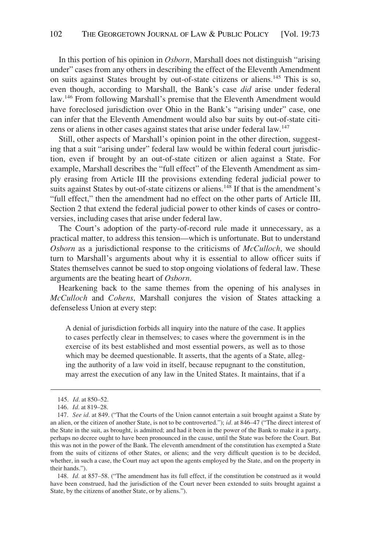In this portion of his opinion in *Osborn*, Marshall does not distinguish "arising under" cases from any others in describing the effect of the Eleventh Amendment on suits against States brought by out-of-state citizens or aliens.145 This is so, even though, according to Marshall, the Bank's case *did* arise under federal law.146 From following Marshall's premise that the Eleventh Amendment would have foreclosed jurisdiction over Ohio in the Bank's "arising under" case, one can infer that the Eleventh Amendment would also bar suits by out-of-state citizens or aliens in other cases against states that arise under federal law.<sup>147</sup>

Still, other aspects of Marshall's opinion point in the other direction, suggesting that a suit "arising under" federal law would be within federal court jurisdiction, even if brought by an out-of-state citizen or alien against a State. For example, Marshall describes the "full effect" of the Eleventh Amendment as simply erasing from Article III the provisions extending federal judicial power to suits against States by out-of-state citizens or aliens.<sup>148</sup> If that is the amendment's "full effect," then the amendment had no effect on the other parts of Article III, Section 2 that extend the federal judicial power to other kinds of cases or controversies, including cases that arise under federal law.

The Court's adoption of the party-of-record rule made it unnecessary, as a practical matter, to address this tension—which is unfortunate. But to understand *Osborn* as a jurisdictional response to the criticisms of *McCulloch*, we should turn to Marshall's arguments about why it is essential to allow officer suits if States themselves cannot be sued to stop ongoing violations of federal law. These arguments are the beating heart of *Osborn*.

Hearkening back to the same themes from the opening of his analyses in *McCulloch* and *Cohens*, Marshall conjures the vision of States attacking a defenseless Union at every step:

A denial of jurisdiction forbids all inquiry into the nature of the case. It applies to cases perfectly clear in themselves; to cases where the government is in the exercise of its best established and most essential powers, as well as to those which may be deemed questionable. It asserts, that the agents of a State, alleging the authority of a law void in itself, because repugnant to the constitution, may arrest the execution of any law in the United States. It maintains, that if a

148. *Id.* at 857–58. ("The amendment has its full effect, if the constitution be construed as it would have been construed, had the jurisdiction of the Court never been extended to suits brought against a State, by the citizens of another State, or by aliens.").

<sup>145.</sup> *Id.* at 850–52.

<sup>146.</sup> *Id.* at 819–28.

<sup>147.</sup> *See id.* at 849. ("That the Courts of the Union cannot entertain a suit brought against a State by an alien, or the citizen of another State, is not to be controverted."); *id.* at 846–47 ("The direct interest of the State in the suit, as brought, is admitted; and had it been in the power of the Bank to make it a party, perhaps no decree ought to have been pronounced in the cause, until the State was before the Court. But this was not in the power of the Bank. The eleventh amendment of the constitution has exempted a State from the suits of citizens of other States, or aliens; and the very difficult question is to be decided, whether, in such a case, the Court may act upon the agents employed by the State, and on the property in their hands.").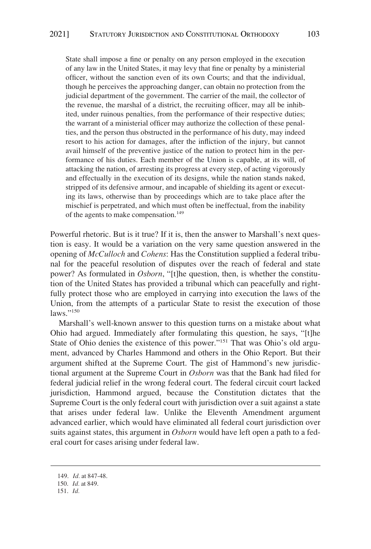State shall impose a fine or penalty on any person employed in the execution of any law in the United States, it may levy that fine or penalty by a ministerial officer, without the sanction even of its own Courts; and that the individual, though he perceives the approaching danger, can obtain no protection from the judicial department of the government. The carrier of the mail, the collector of the revenue, the marshal of a district, the recruiting officer, may all be inhibited, under ruinous penalties, from the performance of their respective duties; the warrant of a ministerial officer may authorize the collection of these penalties, and the person thus obstructed in the performance of his duty, may indeed resort to his action for damages, after the infliction of the injury, but cannot avail himself of the preventive justice of the nation to protect him in the performance of his duties. Each member of the Union is capable, at its will, of attacking the nation, of arresting its progress at every step, of acting vigorously and effectually in the execution of its designs, while the nation stands naked, stripped of its defensive armour, and incapable of shielding its agent or executing its laws, otherwise than by proceedings which are to take place after the mischief is perpetrated, and which must often be ineffectual, from the inability of the agents to make compensation.<sup>149</sup>

Powerful rhetoric. But is it true? If it is, then the answer to Marshall's next question is easy. It would be a variation on the very same question answered in the opening of *McCulloch* and *Cohens*: Has the Constitution supplied a federal tribunal for the peaceful resolution of disputes over the reach of federal and state power? As formulated in *Osborn*, "[t]he question, then, is whether the constitution of the United States has provided a tribunal which can peacefully and rightfully protect those who are employed in carrying into execution the laws of the Union, from the attempts of a particular State to resist the execution of those laws."<sup>150</sup>

Marshall's well-known answer to this question turns on a mistake about what Ohio had argued. Immediately after formulating this question, he says, "[t]he State of Ohio denies the existence of this power."151 That was Ohio's old argument, advanced by Charles Hammond and others in the Ohio Report. But their argument shifted at the Supreme Court. The gist of Hammond's new jurisdictional argument at the Supreme Court in *Osborn* was that the Bank had filed for federal judicial relief in the wrong federal court. The federal circuit court lacked jurisdiction, Hammond argued, because the Constitution dictates that the Supreme Court is the only federal court with jurisdiction over a suit against a state that arises under federal law. Unlike the Eleventh Amendment argument advanced earlier, which would have eliminated all federal court jurisdiction over suits against states, this argument in *Osborn* would have left open a path to a federal court for cases arising under federal law.

<sup>149.</sup> *Id.* at 847-48.

<sup>150.</sup> *Id.* at 849.

<sup>151.</sup> *Id.*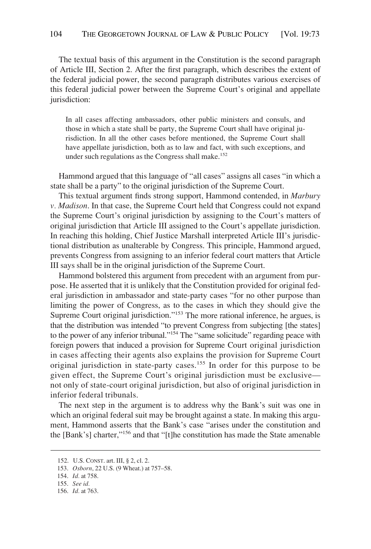The textual basis of this argument in the Constitution is the second paragraph of Article III, Section 2. After the first paragraph, which describes the extent of the federal judicial power, the second paragraph distributes various exercises of this federal judicial power between the Supreme Court's original and appellate jurisdiction:

In all cases affecting ambassadors, other public ministers and consuls, and those in which a state shall be party, the Supreme Court shall have original jurisdiction. In all the other cases before mentioned, the Supreme Court shall have appellate jurisdiction, both as to law and fact, with such exceptions, and under such regulations as the Congress shall make.<sup>152</sup>

Hammond argued that this language of "all cases" assigns all cases "in which a state shall be a party" to the original jurisdiction of the Supreme Court.

This textual argument finds strong support, Hammond contended, in *Marbury v. Madison*. In that case, the Supreme Court held that Congress could not expand the Supreme Court's original jurisdiction by assigning to the Court's matters of original jurisdiction that Article III assigned to the Court's appellate jurisdiction. In reaching this holding, Chief Justice Marshall interpreted Article III's jurisdictional distribution as unalterable by Congress. This principle, Hammond argued, prevents Congress from assigning to an inferior federal court matters that Article III says shall be in the original jurisdiction of the Supreme Court.

Hammond bolstered this argument from precedent with an argument from purpose. He asserted that it is unlikely that the Constitution provided for original federal jurisdiction in ambassador and state-party cases "for no other purpose than limiting the power of Congress, as to the cases in which they should give the Supreme Court original jurisdiction."153 The more rational inference, he argues, is that the distribution was intended "to prevent Congress from subjecting [the states] to the power of any inferior tribunal."<sup>154</sup> The "same solicitude" regarding peace with foreign powers that induced a provision for Supreme Court original jurisdiction in cases affecting their agents also explains the provision for Supreme Court original jurisdiction in state-party cases.<sup>155</sup> In order for this purpose to be given effect, the Supreme Court's original jurisdiction must be exclusive not only of state-court original jurisdiction, but also of original jurisdiction in inferior federal tribunals.

The next step in the argument is to address why the Bank's suit was one in which an original federal suit may be brought against a state. In making this argument, Hammond asserts that the Bank's case "arises under the constitution and the [Bank's] charter,"156 and that "[t]he constitution has made the State amenable

<sup>152.</sup> U.S. CONST. art. III, § 2, cl. 2.

<sup>153.</sup> *Osborn*, 22 U.S. (9 Wheat.) at 757–58.

<sup>154.</sup> *Id.* at 758.

<sup>155.</sup> *See id.* 

<sup>156.</sup> *Id.* at 763.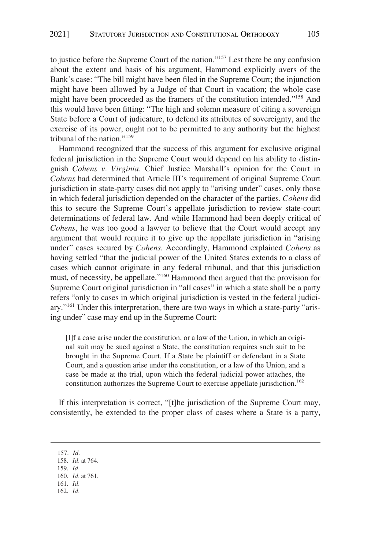to justice before the Supreme Court of the nation."157 Lest there be any confusion about the extent and basis of his argument, Hammond explicitly avers of the Bank's case: "The bill might have been filed in the Supreme Court; the injunction might have been allowed by a Judge of that Court in vacation; the whole case might have been proceeded as the framers of the constitution intended."158 And this would have been fitting: "The high and solemn measure of citing a sovereign State before a Court of judicature, to defend its attributes of sovereignty, and the exercise of its power, ought not to be permitted to any authority but the highest tribunal of the nation."159

Hammond recognized that the success of this argument for exclusive original federal jurisdiction in the Supreme Court would depend on his ability to distinguish *Cohens v. Virginia*. Chief Justice Marshall's opinion for the Court in *Cohens* had determined that Article III's requirement of original Supreme Court jurisdiction in state-party cases did not apply to "arising under" cases, only those in which federal jurisdiction depended on the character of the parties. *Cohens* did this to secure the Supreme Court's appellate jurisdiction to review state-court determinations of federal law. And while Hammond had been deeply critical of *Cohens*, he was too good a lawyer to believe that the Court would accept any argument that would require it to give up the appellate jurisdiction in "arising under" cases secured by *Cohens*. Accordingly, Hammond explained *Cohens* as having settled "that the judicial power of the United States extends to a class of cases which cannot originate in any federal tribunal, and that this jurisdiction must, of necessity, be appellate."160 Hammond then argued that the provision for Supreme Court original jurisdiction in "all cases" in which a state shall be a party refers "only to cases in which original jurisdiction is vested in the federal judiciary."161 Under this interpretation, there are two ways in which a state-party "arising under" case may end up in the Supreme Court:

[I]f a case arise under the constitution, or a law of the Union, in which an original suit may be sued against a State, the constitution requires such suit to be brought in the Supreme Court. If a State be plaintiff or defendant in a State Court, and a question arise under the constitution, or a law of the Union, and a case be made at the trial, upon which the federal judicial power attaches, the constitution authorizes the Supreme Court to exercise appellate jurisdiction.<sup>162</sup>

If this interpretation is correct, "[t]he jurisdiction of the Supreme Court may, consistently, be extended to the proper class of cases where a State is a party,

- 161. *Id.*
- 162. *Id.*

<sup>157.</sup> *Id.* 

<sup>158.</sup> *Id.* at 764.

<sup>159.</sup> *Id.* 

<sup>160.</sup> *Id.* at 761.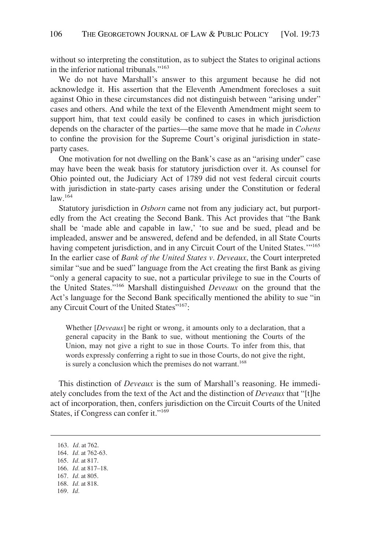without so interpreting the constitution, as to subject the States to original actions in the inferior national tribunals."163

We do not have Marshall's answer to this argument because he did not acknowledge it. His assertion that the Eleventh Amendment forecloses a suit against Ohio in these circumstances did not distinguish between "arising under" cases and others. And while the text of the Eleventh Amendment might seem to support him, that text could easily be confined to cases in which jurisdiction depends on the character of the parties—the same move that he made in *Cohens*  to confine the provision for the Supreme Court's original jurisdiction in stateparty cases.

One motivation for not dwelling on the Bank's case as an "arising under" case may have been the weak basis for statutory jurisdiction over it. As counsel for Ohio pointed out, the Judiciary Act of 1789 did not vest federal circuit courts with jurisdiction in state-party cases arising under the Constitution or federal law.164

Statutory jurisdiction in *Osborn* came not from any judiciary act, but purportedly from the Act creating the Second Bank. This Act provides that "the Bank shall be 'made able and capable in law,' 'to sue and be sued, plead and be impleaded, answer and be answered, defend and be defended, in all State Courts having competent jurisdiction, and in any Circuit Court of the United States."<sup>165</sup> In the earlier case of *Bank of the United States v. Deveaux*, the Court interpreted similar "sue and be sued" language from the Act creating the first Bank as giving "only a general capacity to sue, not a particular privilege to sue in the Courts of the United States."166 Marshall distinguished *Deveaux* on the ground that the Act's language for the Second Bank specifically mentioned the ability to sue "in any Circuit Court of the United States"<sup>167</sup>:

Whether [*Deveaux*] be right or wrong, it amounts only to a declaration, that a general capacity in the Bank to sue, without mentioning the Courts of the Union, may not give a right to sue in those Courts. To infer from this, that words expressly conferring a right to sue in those Courts, do not give the right, is surely a conclusion which the premises do not warrant.<sup>168</sup>

This distinction of *Deveaux* is the sum of Marshall's reasoning. He immediately concludes from the text of the Act and the distinction of *Deveaux* that "[t]he act of incorporation, then, confers jurisdiction on the Circuit Courts of the United States, if Congress can confer it."<sup>169</sup>

163. *Id.* at 762. 164. *Id.* at 762-63. 165. *Id.* at 817. 166. *Id.* at 817–18. 167. *Id.* at 805. 168. *Id.* at 818. 169. *Id.*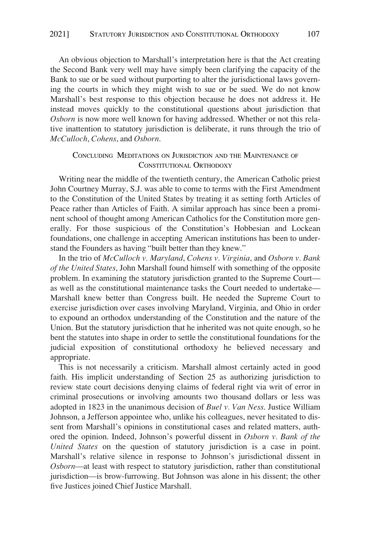<span id="page-35-0"></span>An obvious objection to Marshall's interpretation here is that the Act creating the Second Bank very well may have simply been clarifying the capacity of the Bank to sue or be sued without purporting to alter the jurisdictional laws governing the courts in which they might wish to sue or be sued. We do not know Marshall's best response to this objection because he does not address it. He instead moves quickly to the constitutional questions about jurisdiction that *Osborn* is now more well known for having addressed. Whether or not this relative inattention to statutory jurisdiction is deliberate, it runs through the trio of *McCulloch*, *Cohens*, and *Osborn*.

## CONCLUDING MEDITATIONS ON JURISDICTION AND THE MAINTENANCE OF CONSTITUTIONAL ORTHODOXY

Writing near the middle of the twentieth century, the American Catholic priest John Courtney Murray, S.J. was able to come to terms with the First Amendment to the Constitution of the United States by treating it as setting forth Articles of Peace rather than Articles of Faith. A similar approach has since been a prominent school of thought among American Catholics for the Constitution more generally. For those suspicious of the Constitution's Hobbesian and Lockean foundations, one challenge in accepting American institutions has been to understand the Founders as having "built better than they knew."

In the trio of *McCulloch v. Maryland*, *Cohens v. Virginia*, and *Osborn v. Bank of the United States*, John Marshall found himself with something of the opposite problem. In examining the statutory jurisdiction granted to the Supreme Court as well as the constitutional maintenance tasks the Court needed to undertake— Marshall knew better than Congress built. He needed the Supreme Court to exercise jurisdiction over cases involving Maryland, Virginia, and Ohio in order to expound an orthodox understanding of the Constitution and the nature of the Union. But the statutory jurisdiction that he inherited was not quite enough, so he bent the statutes into shape in order to settle the constitutional foundations for the judicial exposition of constitutional orthodoxy he believed necessary and appropriate.

This is not necessarily a criticism. Marshall almost certainly acted in good faith. His implicit understanding of Section 25 as authorizing jurisdiction to review state court decisions denying claims of federal right via writ of error in criminal prosecutions or involving amounts two thousand dollars or less was adopted in 1823 in the unanimous decision of *Buel v. Van Ness*. Justice William Johnson, a Jefferson appointee who, unlike his colleagues, never hesitated to dissent from Marshall's opinions in constitutional cases and related matters, authored the opinion. Indeed, Johnson's powerful dissent in *Osborn v. Bank of the United States* on the question of statutory jurisdiction is a case in point. Marshall's relative silence in response to Johnson's jurisdictional dissent in *Osborn*—at least with respect to statutory jurisdiction, rather than constitutional jurisdiction—is brow-furrowing. But Johnson was alone in his dissent; the other five Justices joined Chief Justice Marshall.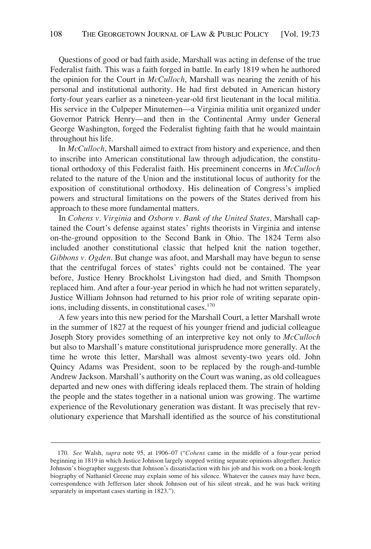Questions of good or bad faith aside, Marshall was acting in defense of the true Federalist faith. This was a faith forged in battle. In early 1819 when he authored the opinion for the Court in *McCulloch*, Marshall was nearing the zenith of his personal and institutional authority. He had first debuted in American history forty-four years earlier as a nineteen-year-old first lieutenant in the local militia. His service in the Culpeper Minutemen—a Virginia militia unit organized under Governor Patrick Henry—and then in the Continental Army under General George Washington, forged the Federalist fighting faith that he would maintain throughout his life.

In *McCulloch*, Marshall aimed to extract from history and experience, and then to inscribe into American constitutional law through adjudication, the constitutional orthodoxy of this Federalist faith. His preeminent concerns in *McCulloch*  related to the nature of the Union and the institutional locus of authority for the exposition of constitutional orthodoxy. His delineation of Congress's implied powers and structural limitations on the powers of the States derived from his approach to these more fundamental matters.

In *Cohens v. Virginia* and *Osborn v. Bank of the United States*, Marshall captained the Court's defense against states' rights theorists in Virginia and intense on-the-ground opposition to the Second Bank in Ohio. The 1824 Term also included another constitutional classic that helped knit the nation together, *Gibbons v. Ogden*. But change was afoot, and Marshall may have begun to sense that the centrifugal forces of states' rights could not be contained. The year before, Justice Henry Brockholst Livingston had died, and Smith Thompson replaced him. And after a four-year period in which he had not written separately, Justice William Johnson had returned to his prior role of writing separate opinions, including dissents, in constitutional cases.<sup>170</sup>

A few years into this new period for the Marshall Court, a letter Marshall wrote in the summer of 1827 at the request of his younger friend and judicial colleague Joseph Story provides something of an interpretive key not only to *McCulloch*  but also to Marshall's mature constitutional jurisprudence more generally. At the time he wrote this letter, Marshall was almost seventy-two years old. John Quincy Adams was President, soon to be replaced by the rough-and-tumble Andrew Jackson. Marshall's authority on the Court was waning, as old colleagues departed and new ones with differing ideals replaced them. The strain of holding the people and the states together in a national union was growing. The wartime experience of the Revolutionary generation was distant. It was precisely that revolutionary experience that Marshall identified as the source of his constitutional

<sup>170.</sup> *See* Walsh, *supra* note 95, at 1906–07 ("*Cohens* came in the middle of a four-year period beginning in 1819 in which Justice Johnson largely stopped writing separate opinions altogether. Justice Johnson's biographer suggests that Johnson's dissatisfaction with his job and his work on a book-length biography of Nathaniel Greene may explain some of his silence. Whatever the causes may have been, correspondence with Jefferson later shook Johnson out of his silent streak, and he was back writing separately in important cases starting in 1823.").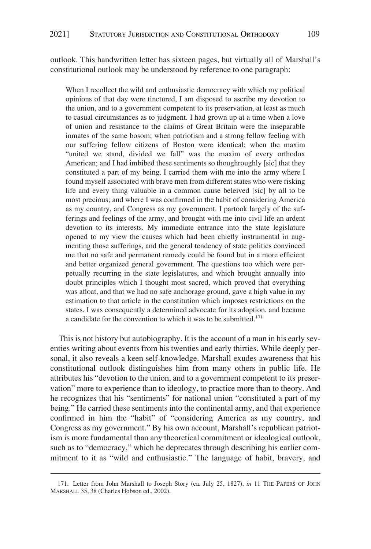outlook. This handwritten letter has sixteen pages, but virtually all of Marshall's constitutional outlook may be understood by reference to one paragraph:

When I recollect the wild and enthusiastic democracy with which my political opinions of that day were tinctured, I am disposed to ascribe my devotion to the union, and to a government competent to its preservation, at least as much to casual circumstances as to judgment. I had grown up at a time when a love of union and resistance to the claims of Great Britain were the inseparable inmates of the same bosom; when patriotism and a strong fellow feeling with our suffering fellow citizens of Boston were identical; when the maxim "united we stand, divided we fall" was the maxim of every orthodox American; and I had imbibed these sentiments so thoughroughly [sic] that they constituted a part of my being. I carried them with me into the army where I found myself associated with brave men from different states who were risking life and every thing valuable in a common cause beleived [sic] by all to be most precious; and where I was confirmed in the habit of considering America as my country, and Congress as my government. I partook largely of the sufferings and feelings of the army, and brought with me into civil life an ardent devotion to its interests. My immediate entrance into the state legislature opened to my view the causes which had been chiefly instrumental in augmenting those sufferings, and the general tendency of state politics convinced me that no safe and permanent remedy could be found but in a more efficient and better organized general government. The questions too which were perpetually recurring in the state legislatures, and which brought annually into doubt principles which I thought most sacred, which proved that everything was afloat, and that we had no safe anchorage ground, gave a high value in my estimation to that article in the constitution which imposes restrictions on the states. I was consequently a determined advocate for its adoption, and became a candidate for the convention to which it was to be submitted.<sup>171</sup>

This is not history but autobiography. It is the account of a man in his early seventies writing about events from his twenties and early thirties. While deeply personal, it also reveals a keen self-knowledge. Marshall exudes awareness that his constitutional outlook distinguishes him from many others in public life. He attributes his "devotion to the union, and to a government competent to its preservation" more to experience than to ideology, to practice more than to theory. And he recognizes that his "sentiments" for national union "constituted a part of my being." He carried these sentiments into the continental army, and that experience confirmed in him the "habit" of "considering America as my country, and Congress as my government." By his own account, Marshall's republican patriotism is more fundamental than any theoretical commitment or ideological outlook, such as to "democracy," which he deprecates through describing his earlier commitment to it as "wild and enthusiastic." The language of habit, bravery, and

<sup>171.</sup> Letter from John Marshall to Joseph Story (ca. July 25, 1827), *in* 11 THE PAPERS OF JOHN MARSHALL 35, 38 (Charles Hobson ed., 2002).